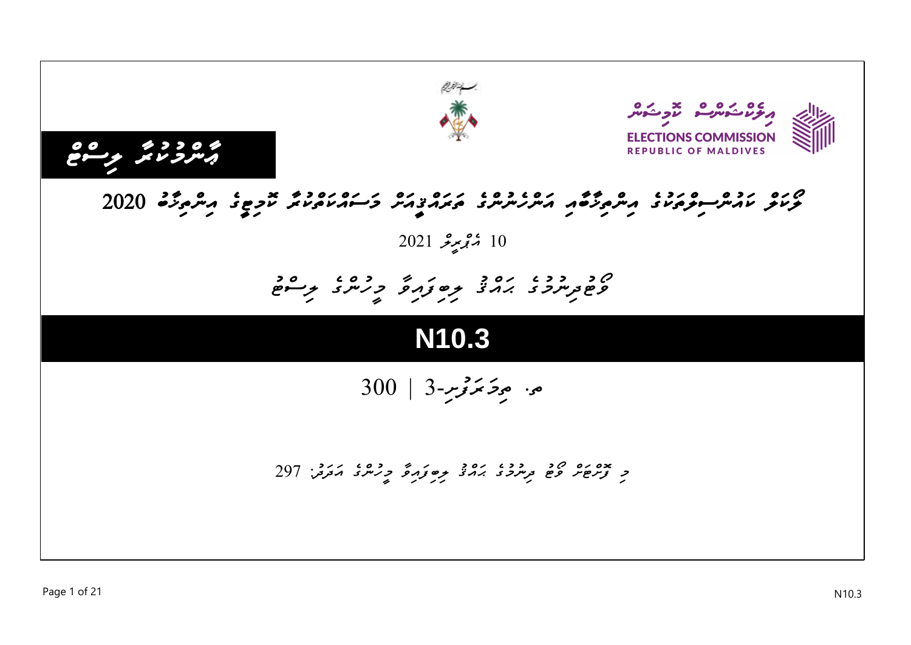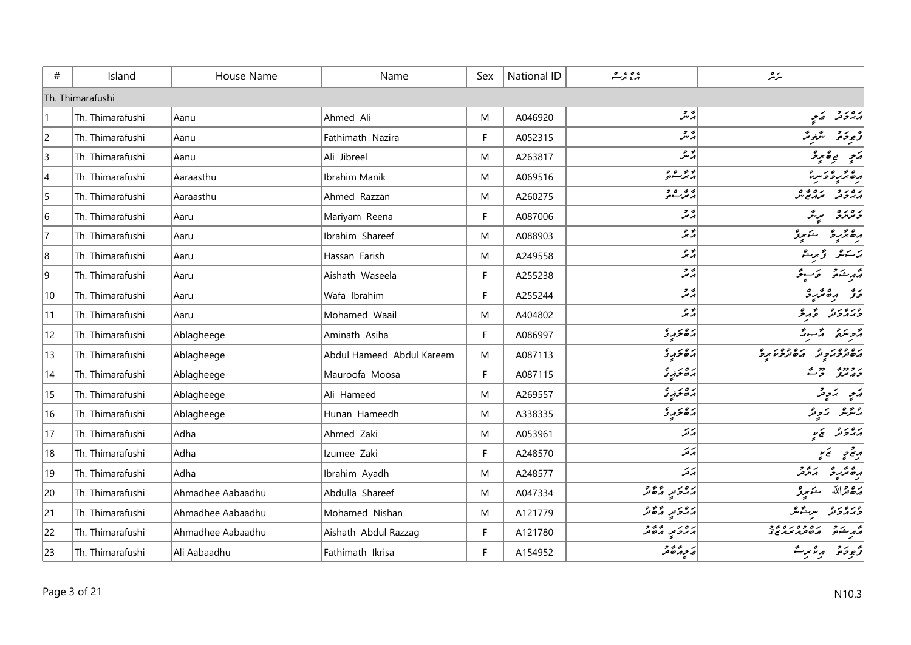| #              | Island           | House Name        | Name                      | Sex         | National ID | ، ه ، ره<br>مر: تر            | يترمثر                                                                                                                                                       |
|----------------|------------------|-------------------|---------------------------|-------------|-------------|-------------------------------|--------------------------------------------------------------------------------------------------------------------------------------------------------------|
|                | Th. Thimarafushi |                   |                           |             |             |                               |                                                                                                                                                              |
|                | Th. Thimarafushi | Aanu              | Ahmed Ali                 | ${\sf M}$   | A046920     | ېژىتر                         | پروژ په په                                                                                                                                                   |
| $\overline{2}$ | Th. Thimarafushi | Aanu              | Fathimath Nazira          | F           | A052315     | ېژىتر                         | قهوده<br>سترەپرىتر                                                                                                                                           |
| $\overline{3}$ | Th. Thimarafushi | Aanu              | Ali Jibreel               | M           | A263817     | ېژىتر                         | أرجو المحافية                                                                                                                                                |
| $\overline{4}$ | Th. Thimarafushi | Aaraasthu         | Ibrahim Manik             | ${\sf M}$   | A069516     | پر پی <sub>ر</sub> ه د        | ە ھەترىر 2 دىن<br>مەھەترىر 2 دىن                                                                                                                             |
| 5              | Th. Thimarafushi | Aaraasthu         | Ahmed Razzan              | ${\sf M}$   | A260275     | ۇ ئۆر 2 ج                     | رەرد رەپرە                                                                                                                                                   |
| 6              | Th. Thimarafushi | Aaru              | Mariyam Reena             | $\mathsf F$ | A087006     | پڑ بڑ                         | كالمحترمر والمحمد المحرمة المحمد                                                                                                                             |
| $\overline{7}$ | Th. Thimarafushi | Aaru              | Ibrahim Shareef           | ${\sf M}$   | A088903     | پڑ پڑ                         | رەنگەرى ئىكرى<br>كەسكەرى ئەرئ                                                                                                                                |
| 8              | Th. Thimarafushi | Aaru              | Hassan Farish             | ${\sf M}$   | A249558     | پر تر                         |                                                                                                                                                              |
| 9              | Th. Thimarafushi | Aaru              | Aishath Waseela           | F           | A255238     | پر تر                         | ەر شەھرى ئەسىر                                                                                                                                               |
| 10             | Th. Thimarafushi | Aaru              | Wafa Ibrahim              | E           | A255244     | پڑ بڑ                         | $rac{1}{2}$                                                                                                                                                  |
| 11             | Th. Thimarafushi | Aaru              | Mohamed Waail             | ${\sf M}$   | A404802     | پڑ پڑ                         | ورەرو ئەر                                                                                                                                                    |
| 12             | Th. Thimarafushi | Ablagheege        | Aminath Asiha             | E           | A086997     | پره ځېږ ځ                     | أأرد المستراثة                                                                                                                                               |
| 13             | Th. Thimarafushi | Ablagheege        | Abdul Hameed Abdul Kareem | ${\sf M}$   | A087113     | رە ر<br>مەخ ئ <sub>ىر</sub> ى | ן פרס בריכים הסתיבת תיכ                                                                                                                                      |
| 14             | Th. Thimarafushi | Ablagheege        | Mauroofa Moosa            | F           | A087115     | رەر<br>  رەنزېرى              | 277777                                                                                                                                                       |
| 15             | Th. Thimarafushi | Ablagheege        | Ali Hameed                | ${\sf M}$   | A269557     | رەپر پ                        | ړې پرېږ                                                                                                                                                      |
| 16             | Th. Thimarafushi | Ablagheege        | Hunan Hameedh             | M           | A338335     | رە<br>دەخزى <sub>ر</sub> ى    | د ورو مار د در در این کار در استان کار دیگر<br>مارس کرده کار در سال کار در استان کار در استان کار در استان کار در استان کار در این کار در این کار در این کار |
| 17             | Th. Thimarafushi | Adha              | Ahmed Zaki                | M           | A053961     | برتر                          | رەرد تم                                                                                                                                                      |
| 18             | Th. Thimarafushi | Adha              | Izumee Zaki               | F           | A248570     | برتر                          | $\frac{1}{2}$ $\frac{1}{2}$ $\frac{1}{2}$ $\frac{1}{2}$ $\frac{1}{2}$                                                                                        |
| 19             | Th. Thimarafushi | Adha              | Ibrahim Ayadh             | M           | A248577     | برقر                          |                                                                                                                                                              |
| 20             | Th. Thimarafushi | Ahmadhee Aabaadhu | Abdulla Shareef           | M           | A047334     | پروی په ډېر                   | رە دالله شەيرو                                                                                                                                               |
| 21             | Th. Thimarafushi | Ahmadhee Aabaadhu | Mohamed Nishan            | M           | A121779     | رو د په په په د               | ورەرو سەشھ                                                                                                                                                   |
| 22             | Th. Thimarafushi | Ahmadhee Aabaadhu | Aishath Abdul Razzag      | F           | A121780     | ره ر په دره د                 | ه در ده ده ده ده دو<br>مگه شوی می هرمه مرد می                                                                                                                |
| 23             | Th. Thimarafushi | Ali Aabaadhu      | Fathimath Ikrisa          | F           | A154952     | پر پر پر پر<br> -             | أرموحا ورامرت                                                                                                                                                |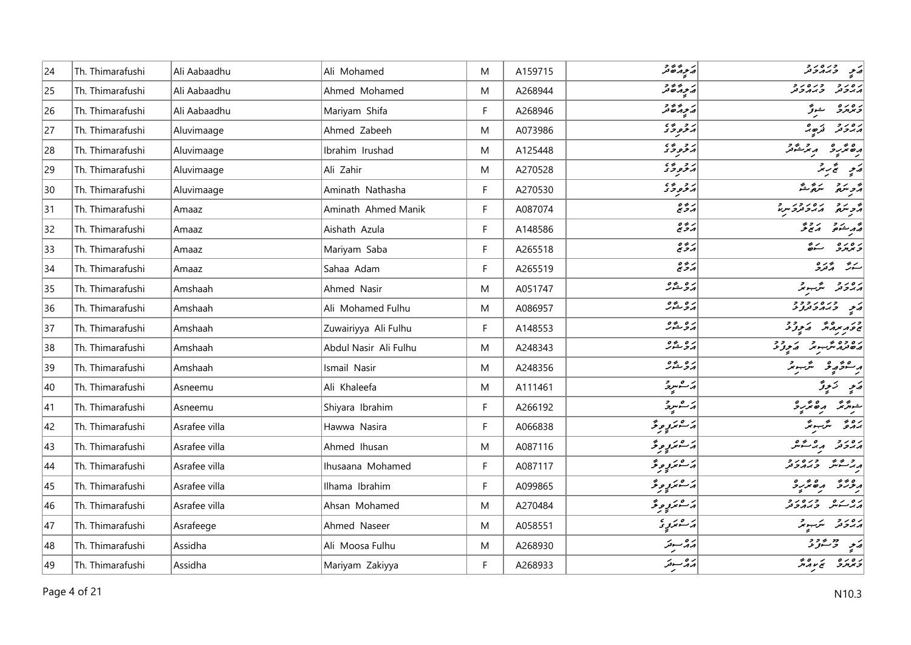| 24 | Th. Thimarafushi | Ali Aabaadhu  | Ali Mohamed           | ${\sf M}$ | A159715 | پر پژھ تر<br>  پر پژھ تر                                                | أەبح درەرد                                              |
|----|------------------|---------------|-----------------------|-----------|---------|-------------------------------------------------------------------------|---------------------------------------------------------|
| 25 | Th. Thimarafushi | Ali Aabaadhu  | Ahmed Mohamed         | M         | A268944 | ر<br>مزیرهٔ قر                                                          | پروژو<br>و ره ر د<br><i>د ب</i> رگرفر                   |
| 26 | Th. Thimarafushi | Ali Aabaadhu  | Mariyam Shifa         | F         | A268946 | ر په ده ورگ                                                             | ويوبره<br>شوقر                                          |
| 27 | Th. Thimarafushi | Aluvimaage    | Ahmed Zabeeh          | M         | A073986 | لەقرەقرى                                                                | بر ه بر د<br>م <i>. ب</i> ر <del>د</del> تر<br>نگە ھەمە |
| 28 | Th. Thimarafushi | Aluvimaage    | Ibrahim Irushad       | ${\sf M}$ | A125448 | پر ژويچ                                                                 | وهتربرو ويرشونه                                         |
| 29 | Th. Thimarafushi | Aluvimaage    | Ali Zahir             | M         | A270528 | أروپ                                                                    | $\frac{2}{3}$                                           |
| 30 | Th. Thimarafushi | Aluvimaage    | Aminath Nathasha      | F         | A270530 | پر د په په<br>  پر څريو د پ                                             |                                                         |
| 31 | Th. Thimarafushi | Amaaz         | Aminath Ahmed Manik   | F         | A087074 | $\overset{o}{\sim} \overset{\smash{>}}{\sim} \overset{\smash{>}}{\sim}$ | הכיתם ההכנקבית                                          |
| 32 | Th. Thimarafushi | Amaaz         | Aishath Azula         | F         | A148586 | روه                                                                     | وكرم شكوه الركاحي                                       |
| 33 | Th. Thimarafushi | Amaaz         | Mariyam Saba          | F         | A265518 | روء                                                                     | رەرە بەر                                                |
| 34 | Th. Thimarafushi | Amaaz         | Sahaa Adam            | F         | A265519 | روه                                                                     | سَرَشَ مَرْمَرَّحْرِ                                    |
| 35 | Th. Thimarafushi | Amshaah       | Ahmed Nasir           | M         | A051747 | بروشرو                                                                  | رەر ئە ئەسىر                                            |
| 36 | Th. Thimarafushi | Amshaah       | Ali Mohamed Fulhu     | M         | A086957 | پروٹ پرو                                                                | ر در در دو <del>ر</del><br>موسی <i>د در دو</i> ر        |
| 37 | Th. Thimarafushi | Amshaah       | Zuwairiyya Ali Fulhu  | F         | A148553 | رەيدە                                                                   | בלא מאיר הבני                                           |
| 38 | Th. Thimarafushi | Amshaah       | Abdul Nasir Ali Fulhu | ${\sf M}$ | A248343 | بروية و                                                                 | גפנגילהיו גיני                                          |
| 39 | Th. Thimarafushi | Amshaah       | Ismail Nasir          | ${\sf M}$ | A248356 | بروشرو                                                                  |                                                         |
| 40 | Th. Thimarafushi | Asneemu       | Ali Khaleefa          | M         | A111461 | لرُ سُدْ سِرِ ژ                                                         | ەيد زېږد                                                |
| 41 | Th. Thimarafushi | Asneemu       | Shiyara Ibrahim       | F         | A266192 | لرمشيرة                                                                 |                                                         |
| 42 | Th. Thimarafushi | Asrafee villa | Hawwa Nasira          | F         | A066838 | <br> د شوندو ه محر                                                      | تترجيه<br>رەپچ                                          |
| 43 | Th. Thimarafushi | Asrafee villa | Ahmed Ihusan          | ${\sf M}$ | A087116 | ر مەير <sub>ىپ جە</sub> ئە                                              | رەر دەرمى                                               |
| 44 | Th. Thimarafushi | Asrafee villa | Ihusaana Mohamed      | F         | A087117 | وسفتروه وقر                                                             | ورث شهر وره د و                                         |
| 45 | Th. Thimarafushi | Asrafee villa | Ilhama Ibrahim        | F         | A099865 | ا ئەسقىمۇ مۇ ئى                                                         | أرورة رەممىرو                                           |
| 46 | Th. Thimarafushi | Asrafee villa | Ahsan Mohamed         | ${\sf M}$ | A270484 | ئەشقى <i>ز بو</i> رگە                                                   | ره ده دره در                                            |
| 47 | Th. Thimarafushi | Asrafeege     | Ahmed Naseer          | ${\sf M}$ | A058551 | پر شو پر پر پر                                                          | رەرو سكەبدىر                                            |
| 48 | Th. Thimarafushi | Assidha       | Ali Moosa Fulhu       | M         | A268930 | رژه سونئر                                                               | ړې د دي.<br>مړينې                                       |
| 49 | Th. Thimarafushi | Assidha       | Mariyam Zakiyya       | F         | A268933 | رژه سونتر                                                               | במתכ המות                                               |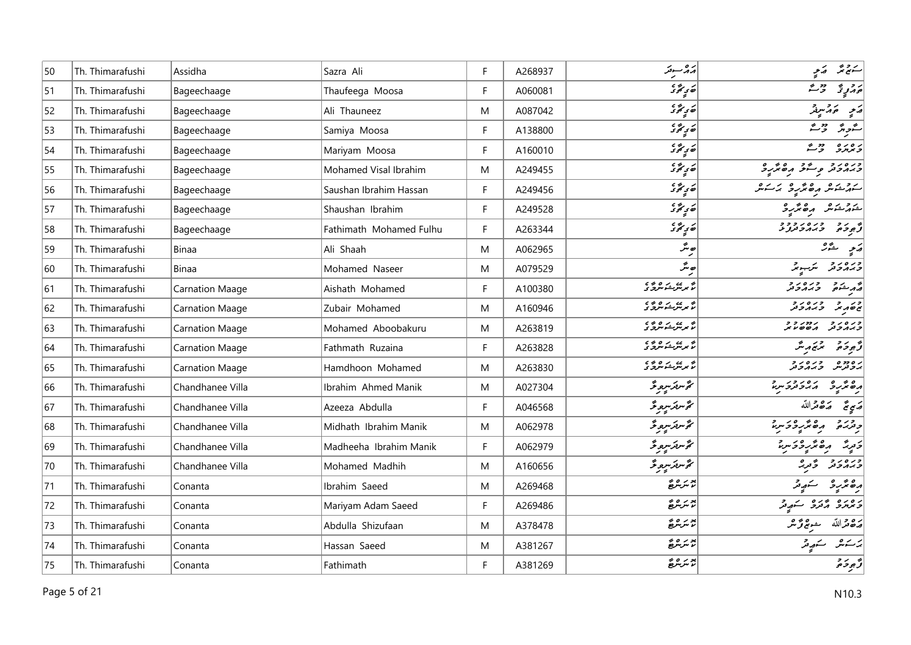| 50 | Th. Thimarafushi | Assidha                | Sazra Ali               | F         | A268937 | بره ب<br>مرکز سوفتر                 | سەنج ئىگە<br>ەئىر                                              |
|----|------------------|------------------------|-------------------------|-----------|---------|-------------------------------------|----------------------------------------------------------------|
| 51 | Th. Thimarafushi | Bageechaage            | Thaufeega Moosa         | F         | A060081 | <br> حو پخون                        | دينه شه<br> <br>  پر ژبې تخه                                   |
| 52 | Th. Thimarafushi | Bageechaage            | Ali Thauneez            | ${\sf M}$ | A087042 | $rac{c}{s}$ $rac{d}{s}$ $rac{d}{s}$ | أوسم وأستنجد                                                   |
| 53 | Th. Thimarafushi | Bageechaage            | Samiya Moosa            | F         | A138800 | له د په ده<br>موسي                  | سەّر پر<br>دويحه                                               |
| 54 | Th. Thimarafushi | Bageechaage            | Mariyam Moosa           | F         | A160010 | ر<br>ئەس ئىمى                       | ر ه ر ه<br><del>د</del> بربرگ<br>چڙ مئثر                       |
| 55 | Th. Thimarafushi | Bageechaage            | Mohamed Visal Ibrahim   | M         | A249455 | <br>  ته په نور                     | כנים ניבי השיתיים ביים                                         |
| 56 | Th. Thimarafushi | Bageechaage            | Saushan Ibrahim Hassan  | F         | A249456 | ے پر پچ<br>م                        | سرد شد مه مهرد برسمبر                                          |
| 57 | Th. Thimarafushi | Bageechaage            | Shaushan Ibrahim        | F         | A249528 | ر<br>ئەس ئىمى                       | شرو شور مورد                                                   |
| 58 | Th. Thimarafushi | Bageechaage            | Fathimath Mohamed Fulhu | F         | A263344 | ر<br>ته تړنگون                      |                                                                |
| 59 | Th. Thimarafushi | <b>Binaa</b>           | Ali Shaah               | M         | A062965 | حويثر                               | پر په دیگر د                                                   |
| 60 | Th. Thimarafushi | <b>Binaa</b>           | Mohamed Naseer          | ${\sf M}$ | A079529 | ھىتر                                | ورەرو شبەر                                                     |
| 61 | Th. Thimarafushi | <b>Carnation Maage</b> | Aishath Mohamed         | F         | A100380 | ر<br>ئەبرىئزىشەملەر ئ               | د در دره دره<br>په شوه در درون                                 |
| 62 | Th. Thimarafushi | <b>Carnation Maage</b> | Zubair Mohamed          | M         | A160946 | ر<br>ما برېتون مرکز د               | 2,0,000 2,000                                                  |
| 63 | Th. Thimarafushi | <b>Carnation Maage</b> | Mohamed Aboobakuru      | ${\sf M}$ | A263819 | ر<br>ما برېتون مرد د                | כנסני נחניים<br>קמתכת תססטת                                    |
| 64 | Th. Thimarafushi | <b>Carnation Maage</b> | Fathmath Ruzaina        | F         | A263828 | ر<br>ما برېتون مرد د                | توجوختمو مرتج مرتثر                                            |
| 65 | Th. Thimarafushi | <b>Carnation Maage</b> | Hamdhoon Mohamed        | M         | A263830 | رم پېژىن مەھ تەرەپ تەرەپ تەرەپ كە   | ر סמם פינסיק<br>גבנקיית בגהכנק                                 |
| 66 | Th. Thimarafushi | Chandhanee Villa       | Ibrahim Ahmed Manik     | M         | A027304 | ڭۇسىرسرە ئ                          | תפת כ המכנקביתי                                                |
| 67 | Th. Thimarafushi | Chandhanee Villa       | Azeeza Abdulla          | F         | A046568 | ستوسين مره محمد<br>محمد مرض         | صَبِيءَ صَصْرَاللّه                                            |
| 68 | Th. Thimarafushi | Chandhanee Villa       | Midhath Ibrahim Manik   | M         | A062978 | ڭۇستىر س <sub>ىر</sub> مۇ           | و در د<br>په درگاه<br>ە ھەمەر 25 سرىد<br>ب                     |
| 69 | Th. Thimarafushi | Chandhanee Villa       | Madheeha Ibrahim Manik  | F         | A062979 | ڭۇستىرسرە ئۇ                        | ە ھەترىر 2 دىرىد<br>رەھ تەرىبى 2 دىرىدا<br>ئە تەر <sup>ش</sup> |
| 70 | Th. Thimarafushi | Chandhanee Villa       | Mohamed Madhih          | M         | A160656 | ى<br>ئۇستىر سوڭر                    | ورەرو ئەر                                                      |
| 71 | Th. Thimarafushi | Conanta                | Ibrahim Saeed           | M         | A269468 | بر بر <u>مرض</u> ح                  | رە ئەر ئىستىر                                                  |
| 72 | Th. Thimarafushi | Conanta                | Mariyam Adam Saeed      | F         | A269486 | بىز يەر <i>ھ</i><br>ئاسىر بىرىقى    | גם גם בגם הגבר                                                 |
| 73 | Th. Thimarafushi | Conanta                | Abdulla Shizufaan       | ${\sf M}$ | A378478 | بىز يەر <i>ھ</i><br>ئاسىر بىرىقى    | رە قراللە ھەم ئەس                                              |
| 74 | Th. Thimarafushi | Conanta                | Hassan Saeed            | M         | A381267 | لا يتربره<br>لا يتربيرچ             | برىكەشر<br>ستهرمتر                                             |
| 75 | Th. Thimarafushi | Conanta                | Fathimath               | F         | A381269 | بر بر <u>مرض</u> ح                  | و په پر د                                                      |
|    |                  |                        |                         |           |         |                                     |                                                                |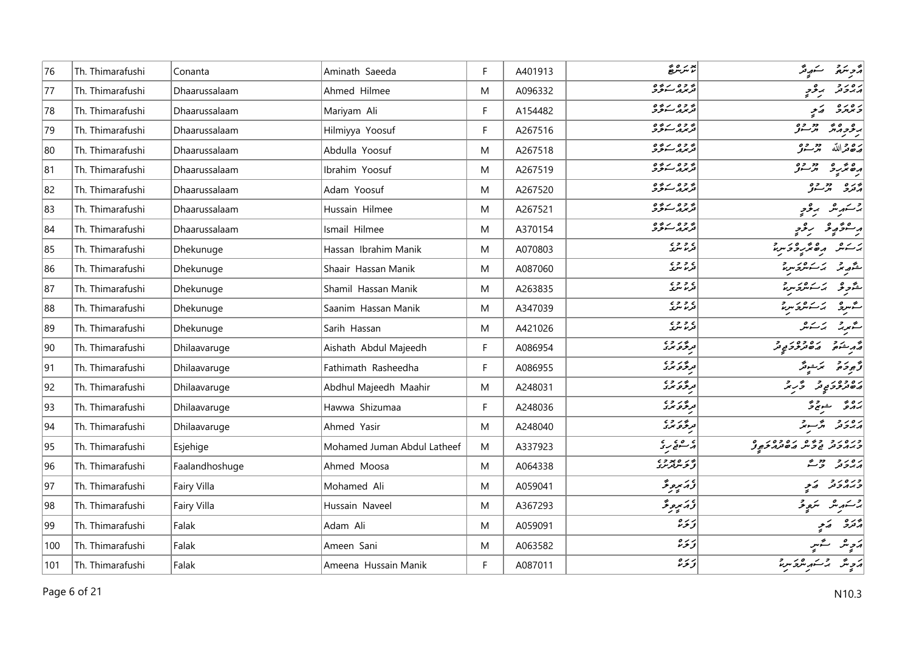| 76  | Th. Thimarafushi | Conanta            | Aminath Saeeda              | F         | A401913 | يد پر ۵ پر<br>پر سر بنر <u>چ</u>                | أأرجع المسكر وتكر                                                                                       |
|-----|------------------|--------------------|-----------------------------|-----------|---------|-------------------------------------------------|---------------------------------------------------------------------------------------------------------|
| 77  | Th. Thimarafushi | Dhaarussalaam      | Ahmed Hilmee                | M         | A096332 | ء وه ريده<br>تربر پر سکوگ                       | پر ۱۹ پر د<br>برثرير                                                                                    |
| 78  | Th. Thimarafushi | Dhaarussalaam      | Mariyam Ali                 | F         | A154482 | ء وه ريده<br>تربر پر سکوگ                       | ر ه ر ه<br>د بربر ژ                                                                                     |
| 79  | Th. Thimarafushi | Dhaarussalaam      | Hilmiyya Yoosuf             | F         | A267516 | ء وه رر ده<br>تربو پر سنوگر                     | دو په دې<br>مرسسو<br>برثر دره<br>ر                                                                      |
| 80  | Th. Thimarafushi | Dhaarussalaam      | Abdulla Yoosuf              | M         | A267518 | ء وه ريده<br>تربر پر سکوچ                       | برە تراللە<br>در وه<br>در سور                                                                           |
| 81  | Th. Thimarafushi | Dhaarussalaam      | Ibrahim Yoosuf              | M         | A267519 | ء وه ريەه<br>ترىرە سەنۇر                        | دو حرو<br>ەھ ئۈرۈ                                                                                       |
| 82  | Th. Thimarafushi | Dhaarussalaam      | Adam Yoosuf                 | M         | A267520 | ء وه ريده<br>تربر پر سکوگ                       | پر ده در ده<br>پرترو پرسو                                                                               |
| 83  | Th. Thimarafushi | Dhaarussalaam      | Hussain Hilmee              | ${\sf M}$ | A267521 | ء وه رر وه<br>تربر پر سکوگر                     | يزڪريش برقومي                                                                                           |
| 84  | Th. Thimarafushi | Dhaarussalaam      | Ismail Hilmee               | M         | A370154 | ء وه رر وه<br>تربر پر سکوگر                     | وستوفيو رود                                                                                             |
| 85  | Th. Thimarafushi | Dhekunuge          | Hassan Ibrahim Manik        | M         | A070803 | ی و و ،<br>تور سری                              |                                                                                                         |
| 86  | Th. Thimarafushi | Dhekunuge          | Shaair Hassan Manik         | M         | A087060 | ، و و ،<br>تور سری                              | شَرەر ئەسكەردە                                                                                          |
| 87  | Th. Thimarafushi | Dhekunuge          | Shamil Hassan Manik         | M         | A263835 | ړ <i>د</i> د ،<br>تر را سرب                     | شَعْرِ فَى سَائْتِ مَسْرَدَ مَدَرَدَ                                                                    |
| 88  | Th. Thimarafushi | Dhekunuge          | Saanim Hassan Manik         | M         | A347039 | ے ج ج ے<br>تور شمیری                            | سأسرد برسكسرد مردا                                                                                      |
| 89  | Th. Thimarafushi | Dhekunuge          | Sarih Hassan                | ${\sf M}$ | A421026 | ، و و ،<br>تور سری                              | ستمبرج الكاشكر                                                                                          |
| 90  | Th. Thimarafushi | Dhilaavaruge       | Aishath Abdul Majeedh       | F         | A086954 | و پ <sup>ی</sup> بر ۲۰<br>درمرگ مر <sub>ک</sub> | ه در ده ده ده در د<br>اوگرشوه او ماه مرکز در د                                                          |
| 91  | Th. Thimarafushi | Dhilaavaruge       | Fathimath Rasheedha         | F         | A086955 | در څرم تر د                                     | قەدە ئەسىق                                                                                              |
| 92  | Th. Thimarafushi | Dhilaavaruge       | Abdhul Majeedh Maahir       | M         | A248031 | و بحر و <sup>ی</sup><br>فرقر <i>ه بو</i> ر      | ره وه ر و گريز                                                                                          |
| 93  | Th. Thimarafushi | Dhilaavaruge       | Hawwa Shizumaa              | F         | A248036 | و بحر و <sup>ي</sup><br>مرمح <i>مر</i> د        | $\begin{pmatrix} 2 & 2 & 2 & 2 \ 2 & 2 & 2 & 2 \end{pmatrix}$                                           |
| 94  | Th. Thimarafushi | Dhilaavaruge       | Ahmed Yasir                 | M         | A248040 | در څو تر د ،<br>  در څو تر د                    | رەر ئەسىر                                                                                               |
| 95  | Th. Thimarafushi | Esjehige           | Mohamed Juman Abdul Latheef | ${\sf M}$ | A337923 | م ص <sub>ف</sub> ح بری                          | 2010 - 2020 - 2020 - 2020<br>2010 - 2020 - 2020 - 2020 - 2020 - 2020 - 2020 - 2020 - 2020 - 2020 - 2020 |
| 96  | Th. Thimarafushi | Faalandhoshuge     | Ahmed Moosa                 | M         | A064338 | ء ر ەيد د ،<br>توفرس                            | ړه ده ده ش                                                                                              |
| 97  | Th. Thimarafushi | <b>Fairy Villa</b> | Mohamed Ali                 | ${\sf M}$ | A059041 | ۇرىمرە بۇ                                       | ورەر د كم                                                                                               |
| 98  | Th. Thimarafushi | <b>Fairy Villa</b> | Hussain Naveel              | ${\sf M}$ | A367293 | ۇ ئەسمەھ ب <sup>ى</sup> ر                       |                                                                                                         |
| 99  | Th. Thimarafushi | Falak              | Adam Ali                    | ${\sf M}$ | A059091 | ۇ ئە                                            | پر ده<br>مرکز کار                                                                                       |
| 100 | Th. Thimarafushi | Falak              | Ameen Sani                  | M         | A063582 | ۇئرە                                            | برَجٍيْر                                                                                                |
| 101 | Th. Thimarafushi | Falak              | Ameena Hussain Manik        | F         | A087011 | وَىَوْما                                        | أروش برسكم مركز سرة                                                                                     |
|     |                  |                    |                             |           |         |                                                 |                                                                                                         |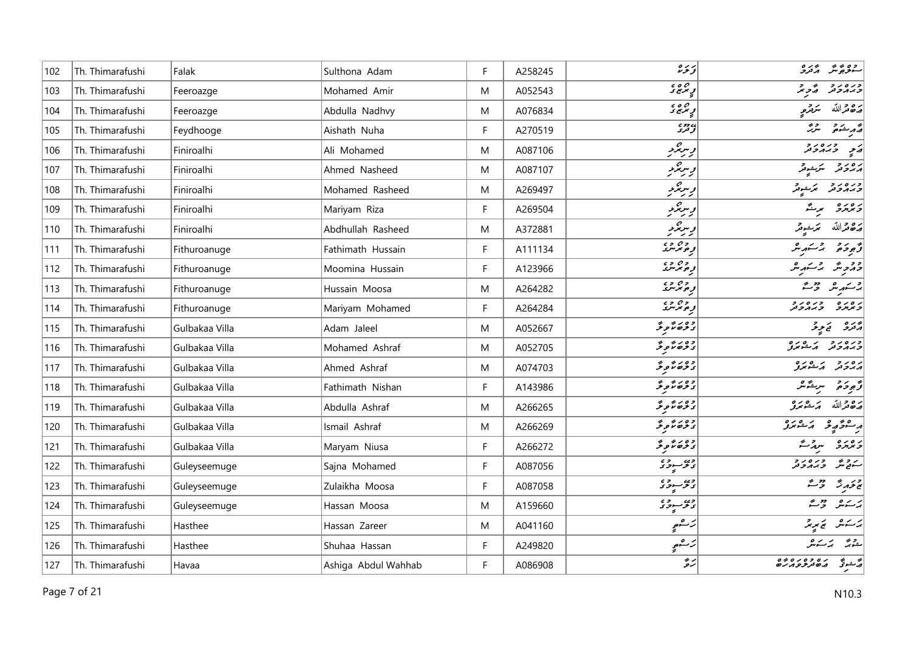| 102 | Th. Thimarafushi | Falak          | Sulthona Adam       | F  | A258245 | ۇ ئە                                       | روه پر په ده د                                 |
|-----|------------------|----------------|---------------------|----|---------|--------------------------------------------|------------------------------------------------|
| 103 | Th. Thimarafushi | Feeroazge      | Mohamed Amir        | M  | A052543 | و ۵ ۵ م<br>م <sub>و</sub> مربع د           | و ره ر و<br><i>و بر د</i> کر<br>ەرىر           |
| 104 | Th. Thimarafushi | Feeroazge      | Abdulla Nadhvy      | M  | A076834 | وپرې                                       | ەھىراللە<br>سرورمح                             |
| 105 | Th. Thimarafushi | Feydhooge      | Aishath Nuha        | F. | A270519 | دے وہ ے<br>قرقری                           | ىترىر<br>پ <sup>و</sup> پر شوې                 |
| 106 | Th. Thimarafushi | Finiroalhi     | Ali Mohamed         | M  | A087106 | و سر پژو<br>تر سر                          | أمجمج وبره برد                                 |
| 107 | Th. Thimarafushi | Finiroalhi     | Ahmed Nasheed       | M  | A087107 | وسرچمو                                     | رەرە سكىشونر                                   |
| 108 | Th. Thimarafushi | Finiroalhi     | Mohamed Rasheed     | M  | A269497 | وسرچمو                                     | ورەرو كەشپەر                                   |
| 109 | Th. Thimarafushi | Finiroalhi     | Mariyam Riza        | F  | A269504 | وسرچمو                                     | و وره برگ                                      |
| 110 | Th. Thimarafushi | Finiroalhi     | Abdhullah Rasheed   | M  | A372881 | وسرچمو                                     | ەھىراللە<br>بخرشدقر                            |
| 111 | Th. Thimarafushi | Fithuroanuge   | Fathimath Hussain   | F  | A111134 | وه ده ده                                   | توجوجو برسمه                                   |
| 112 | Th. Thimarafushi | Fithuroanuge   | Moomina Hussain     | F  | A123966 | ده ده د،                                   | وروپى برخىرى                                   |
| 113 | Th. Thimarafushi | Fithuroanuge   | Hussain Moosa       | M  | A264282 | وه وه<br>د مرس                             | برستهر شد وحسة                                 |
| 114 | Th. Thimarafushi | Fithuroanuge   | Mariyam Mohamed     | F  | A264284 | وه وه<br>د و مرس                           | ر ه ر ه<br>تر بر بر<br>و ره ر و<br>تر پر ژمر   |
| 115 | Th. Thimarafushi | Gulbakaa Villa | Adam Jaleel         | M  | A052667 | دەر ب <sub>ە ئە</sub> ر                    | پرو کے پی                                      |
| 116 | Th. Thimarafushi | Gulbakaa Villa | Mohamed Ashraf      | M  | A052705 | دەر ب <sub>ە ب</sub> ۇ                     | وره رو بر عدو<br>وبردونر بر شویرو              |
| 117 | Th. Thimarafushi | Gulbakaa Villa | Ahmed Ashraf        | M  | A074703 | <br>  دىۋە ئ <sup>ۇ</sup> م <sub>و</sub> م | رەرد رورە                                      |
| 118 | Th. Thimarafushi | Gulbakaa Villa | Fathimath Nishan    | F  | A143986 | دەر بەر<br>ئەخر <i>ە</i> ئىرىگە            | أَرْجُوحَةً مِن اللَّهُ مَنْ                   |
| 119 | Th. Thimarafushi | Gulbakaa Villa | Abdulla Ashraf      | M  | A266265 | وه پرې وگړ<br>د عرص <sup>ر</sup> وڅ        | مَدْهُ مَنْ اللّهِ مَنْ مَسْعَمَّةِ            |
| 120 | Th. Thimarafushi | Gulbakaa Villa | Ismail Ashraf       | M  | A266269 | د وه پرځونځه <sub>و</sub> نځه              | ر عۇرپۇ سىمبر                                  |
| 121 | Th. Thimarafushi | Gulbakaa Villa | Maryam Niusa        | F  | A266272 | وه رو په مخ                                |                                                |
| 122 | Th. Thimarafushi | Guleyseemuge   | Sajna Mohamed       | F  | A087056 | وړ.<br>د نور وی                            | مەدەبىرە ئەرەرد                                |
| 123 | Th. Thimarafushi | Guleyseemuge   | Zulaikha Moosa      | F  | A087058 | در،<br>دنگرسود د                           | وحرثة<br>  خ ځرمر ش                            |
| 124 | Th. Thimarafushi | Guleyseemuge   | Hassan Moosa        | M  | A159660 | د پيې سر د په<br>د نور سرد د               | برسەش ۋەڭ                                      |
| 125 | Th. Thimarafushi | Hasthee        | Hassan Zareer       | M  | A041160 | ئرشو                                       | ىرىكىش ئەيرىم                                  |
| 126 | Th. Thimarafushi | Hasthee        | Shuhaa Hassan       | F  | A249820 | ئر ڪھيج                                    | لمقرش الركائش                                  |
| 127 | Th. Thimarafushi | Havaa          | Ashiga Abdul Wahhab | F. | A086908 | رپچ                                        | ه شود ده ده ده وه ده<br>پرشوتی پره تر تروپرتره |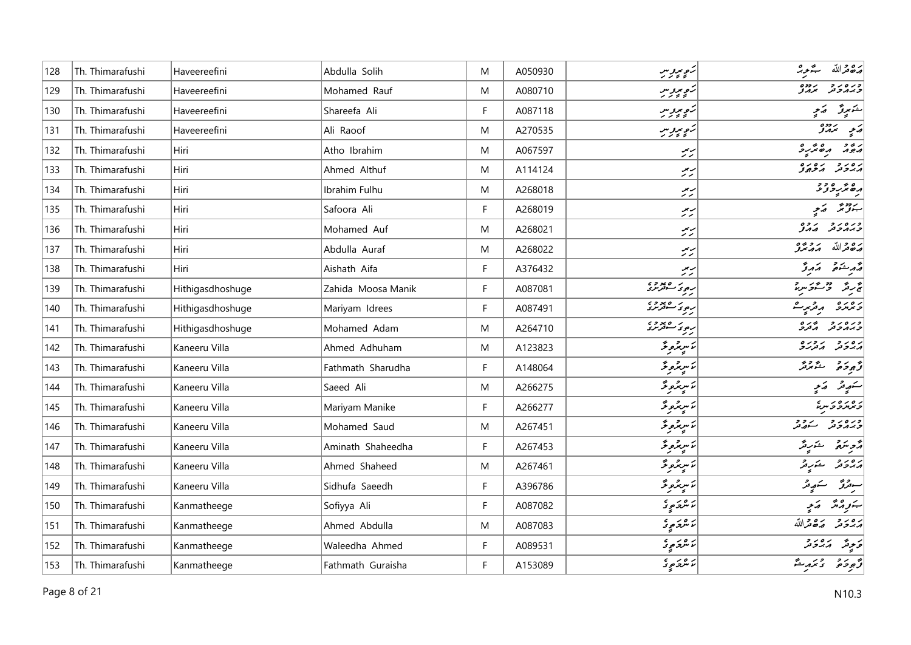| 128 | Th. Thimarafushi | Haveereefini     | Abdulla Solih      | M         | A050930 | رَ <sub>هِ مو</sub> رِ سِرِ                    | رەقراللە گەر                                |
|-----|------------------|------------------|--------------------|-----------|---------|------------------------------------------------|---------------------------------------------|
| 129 | Th. Thimarafushi | Haveereefini     | Mohamed Rauf       | M         | A080710 | ر <sub>َءِ موبو مير</sub>                      | ر دد ه<br>بود تو<br>و ره ر د<br>تر پر ژنر   |
| 130 | Th. Thimarafushi | Haveereefini     | Shareefa Ali       | F         | A087118 | ئەھ بىرو بىر<br>كەنبە ئەرىب                    | شەمرۇ<br>رځمني                              |
| 131 | Th. Thimarafushi | Haveereefini     | Ali Raoof          | M         | A270535 | ر <sub>ک</sub> ے پرویں<br>مخ                   | $rac{1}{3}$                                 |
| 132 | Th. Thimarafushi | Hiri             | Atho Ibrahim       | M         | A067597 | رىر                                            | $rac{26}{150}$<br>ەرھەترىر <sup>ى</sup>     |
| 133 | Th. Thimarafushi | Hiri             | Ahmed Althuf       | M         | A114124 | رىر                                            |                                             |
| 134 | Th. Thimarafushi | Hiri             | Ibrahim Fulhu      | M         | A268018 | رىر                                            | ە ھەترىر <i>230</i><br>بەھەترىر <i>33</i> 2 |
| 135 | Th. Thimarafushi | Hiri             | Safoora Ali        | F         | A268019 | رىر                                            | بددوي المالمي                               |
| 136 | Th. Thimarafushi | Hiri             | Mohamed Auf        | ${\sf M}$ | A268021 | رىر                                            | כנסני ניפס                                  |
| 137 | Th. Thimarafushi | Hiri             | Abdulla Auraf      | M         | A268022 | رىر                                            | ەھىراللە<br>ىردىمى                          |
| 138 | Th. Thimarafushi | Hiri             | Aishath Aifa       | F.        | A376432 | رىر                                            | مەرشىق مەرق                                 |
| 139 | Th. Thimarafushi | Hithigasdhoshuge | Zahida Moosa Manik | F         | A087081 | اره د معروج<br>اره د مورمړي                    | تج رقد حي شرح مرد                           |
| 140 | Th. Thimarafushi | Hithigasdhoshuge | Mariyam Idrees     | F         | A087491 | اره در ۲۶۵ وي.<br>پرسون سوټرېږي                | و مره مقرمي -                               |
| 141 | Th. Thimarafushi | Hithigasdhoshuge | Mohamed Adam       | M         | A264710 | ر صد و د<br>ره د کستوربود                      | ورەر د درە<br><i>دىدە</i> رىر مەر <i>و</i>  |
| 142 | Th. Thimarafushi | Kaneeru Villa    | Ahmed Adhuham      | M         | A123823 | ئەس <sub>ى</sub> پرىموقە                       | נים ניבינים<br>הגבינה הבנינים               |
| 143 | Th. Thimarafushi | Kaneeru Villa    | Fathmath Sharudha  | F         | A148064 | ئەسەپرە بەر<br>ئ                               | ترجوخا مشرقته                               |
| 144 | Th. Thimarafushi | Kaneeru Villa    | Saeed Ali          | M         | A266275 | ئەس <sub>رىم</sub> رىرى<br>ئ                   | سكهي فكع                                    |
| 145 | Th. Thimarafushi | Kaneeru Villa    | Mariyam Manike     | F         | A266277 | ئەس <sub>رىم</sub> رىمو ئۇ                     | גם גם ג'<br><i>באתכ</i> ל <sub>ת</sub> ע    |
| 146 | Th. Thimarafushi | Kaneeru Villa    | Mohamed Saud       | M         | A267451 | ئەس <sub>رىم</sub> رى<br>ئەسرىمرى              | وره رو د دو.<br><i>د بر د در</i> در         |
| 147 | Th. Thimarafushi | Kaneeru Villa    | Aminath Shaheedha  | F         | A267453 | ئەس <sub>رىتى</sub> رىگە<br>ئە                 | مزمر متمرير                                 |
| 148 | Th. Thimarafushi | Kaneeru Villa    | Ahmed Shaheed      | M         | A267461 | ئەس <sub>رىم</sub> رى<br>ئ                     | رەر د شەرىر<br>مەركىر شەرىر                 |
| 149 | Th. Thimarafushi | Kaneeru Villa    | Sidhufa Saeedh     | F         | A396786 | ر<br>ئەمىرىزىرىگە                              | سىدىق سەرىتى                                |
| 150 | Th. Thimarafushi | Kanmatheege      | Sofiyya Ali        | F         | A087082 | ر ه ر په<br>پاسر <sub>د کو</sub> ر             | ښوږمهٔ ډَمو                                 |
| 151 | Th. Thimarafushi | Kanmatheege      | Ahmed Abdulla      | M         | A087083 | ر ه ر<br>پړمبر <del>د</del> <sub>مح</sub> د    | بره برو بره درالله                          |
| 152 | Th. Thimarafushi | Kanmatheege      | Waleedha Ahmed     | F         | A089531 | ر ه ر پر<br>ماشر <del>د</del> م <sub>و</sub> د | كوريم كالمرور                               |
| 153 | Th. Thimarafushi | Kanmatheege      | Fathmath Guraisha  | F         | A153089 | بزمردي                                         | وٌجوحو ويمهيشُ                              |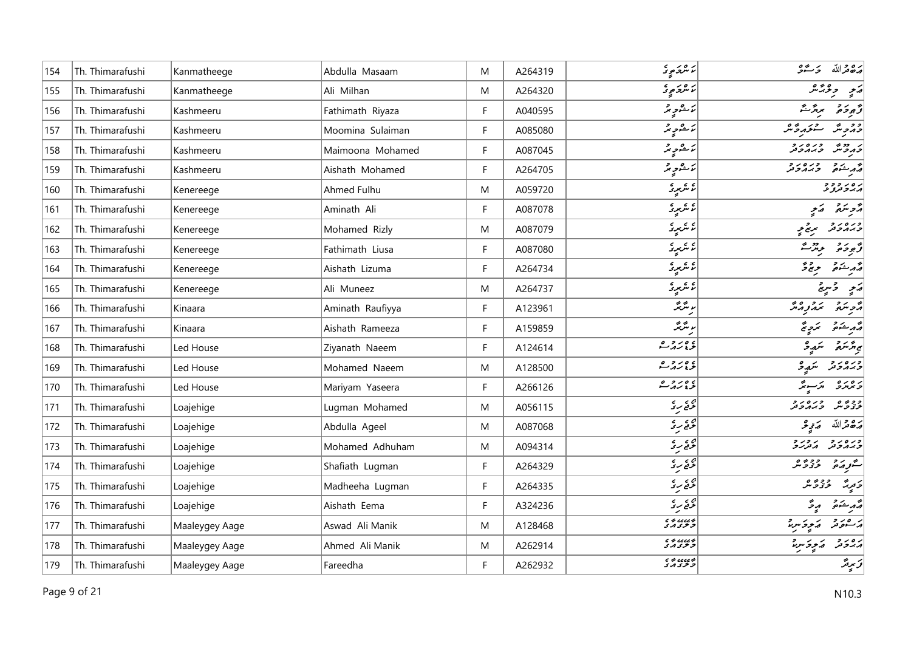| 154 | Th. Thimarafushi | Kanmatheege    | Abdulla Masaam   | M           | A264319 | ر ه ر<br>پاسر <sub>د مو</sub> ر     | مَدْهَ مَرْاللّه وَسَّوَّ                             |
|-----|------------------|----------------|------------------|-------------|---------|-------------------------------------|-------------------------------------------------------|
| 155 | Th. Thimarafushi | Kanmatheege    | Ali Milhan       | M           | A264320 | ر ه ر<br>پاسر <sub>چ تو</sub> ر     | ړې د در                                               |
| 156 | Th. Thimarafushi | Kashmeeru      | Fathimath Riyaza | F           | A040595 | ىر ش <sub>ىر چى</sub> ر             | وتموزة<br>ىروتزىتە                                    |
| 157 | Th. Thimarafushi | Kashmeeru      | Moomina Sulaiman | F           | A085080 | ىر ھ <sub>ى</sub> جەر               | د د بر ش<br>ر دىكەر ئ <sup>ە</sup> ئە                 |
| 158 | Th. Thimarafushi | Kashmeeru      | Maimoona Mohamed | F           | A087045 | ىر ھ <sub>ى</sub> جەر               | و ر ه ر د<br>تر پروتر<br>ىر دەپر<br>ئ                 |
| 159 | Th. Thimarafushi | Kashmeeru      | Aishath Mohamed  | F           | A264705 | ىر ھ <sub>ى</sub> جەرىجە            | و ره ر و<br>تر پر ژفر<br>پر ديگر ج<br>مرگه مشتوي      |
| 160 | Th. Thimarafushi | Kenereege      | Ahmed Fulhu      | M           | A059720 | ى<br>ئامىرىيەتى                     | ر ه ر و و و<br>پر ر و ترو تر                          |
| 161 | Th. Thimarafushi | Kenereege      | Aminath Ali      | $\mathsf F$ | A087078 | ى<br>ئامىرىيەتى                     | ومحر سنتمر وكالمحي                                    |
| 162 | Th. Thimarafushi | Kenereege      | Mohamed Rizly    | M           | A087079 | ې په په په<br>ما مر <sub>سم</sub> و | و ر ه ر و<br><i>و پر</i> پر <del>و</del> ر<br>ىرىج مو |
| 163 | Th. Thimarafushi | Kenereege      | Fathimath Liusa  | F           | A087080 | ى<br>ئەمىرىمورى                     | ىر دىر مىگە<br>ء مر د<br>ترموخ م                      |
| 164 | Th. Thimarafushi | Kenereege      | Aishath Lizuma   | F           | A264734 | ى<br>ئامىرىيەنى                     | و مرکز در<br>مرکز شوی<br>عربي                         |
| 165 | Th. Thimarafushi | Kenereege      | Ali Muneez       | M           | A264737 | ى<br>ئەمىرىموچ                      | ړې د سرچ                                              |
| 166 | Th. Thimarafushi | Kinaara        | Aminath Raufiyya | $\mathsf F$ | A123961 | ىرىئىگە                             | أرمز ينمو<br>برد و دیگر                               |
| 167 | Th. Thimarafushi | Kinaara        | Aishath Rameeza  | $\mathsf F$ | A159859 | ىرىترىتر                            | وأرجنتم ترديج                                         |
| 168 | Th. Thimarafushi | Led House      | Ziyanath Naeem   | F           | A124614 | <sup>ى 2</sup> ىر ئەر               | ې پر شر <sub>و</sub><br>سمەچ                          |
| 169 | Th. Thimarafushi | Led House      | Mohamed Naeem    | M           | A128500 | <sup>ى 2</sup> ىر ئەھ               | و ره ر و<br><i>و پر ه</i> تر<br>سَمدِرْ               |
| 170 | Th. Thimarafushi | Led House      | Mariyam Yaseera  | F           | A266126 | <sup>ى ەر د</sup> ېر                | ويرجرو الرسوش                                         |
| 171 | Th. Thimarafushi | Loajehige      | Lugman Mohamed   | M           | A056115 | ہ ء<br>محرچ <sub>مر</sub> ئ         | و ر ه ر د<br>تر پر ژنر<br>و و و ه<br>مونوکو مگر       |
| 172 | Th. Thimarafushi | Loajehige      | Abdulla Ageel    | M           | A087068 | ہ ء ہے<br>محم <i>ق ب</i>            | مَەھىراللە مَەتبەمْ                                   |
| 173 | Th. Thimarafushi | Loajehige      | Mohamed Adhuham  | M           | A094314 | ہ ء<br>محرچ <sub>مر</sub> ئ         | כנסנפ נבנב<br>בגמכת הבנב                              |
| 174 | Th. Thimarafushi | Loajehige      | Shafiath Lugman  | $\mathsf F$ | A264329 | ج ۽ ج<br>حويج سر پي                 | و د و مه ه<br>مونوکو مګر<br>  سەرەپە                  |
| 175 | Th. Thimarafushi | Loajehige      | Madheeha Lugman  | F           | A264335 | ہ ء<br>حقے س <sup>ر</sup>           | ئەمەرچە<br>و د و ه                                    |
| 176 | Th. Thimarafushi | Loajehige      | Aishath Eema     | F           | A324236 | ە ئەيدى<br>مەنبە                    | مەر خىم بىر                                           |
| 177 | Th. Thimarafushi | Maaleygey Aage | Aswad Ali Manik  | M           | A128468 | e s ceces<br>5 A 5 G G              |                                                       |
| 178 | Th. Thimarafushi | Maaleygey Aage | Ahmed Ali Manik  | M           | A262914 | ه عن در د بر<br>در مو بر ار         | ر ە ر د<br>م <i>رگ</i> تر<br>ە ئېرىخ سرىتى            |
| 179 | Th. Thimarafushi | Maaleygey Aage | Fareedha         | F           | A262932 | ه عن عده عده ح<br>مرکز مرکز حرک     | ۇ بىرىگە                                              |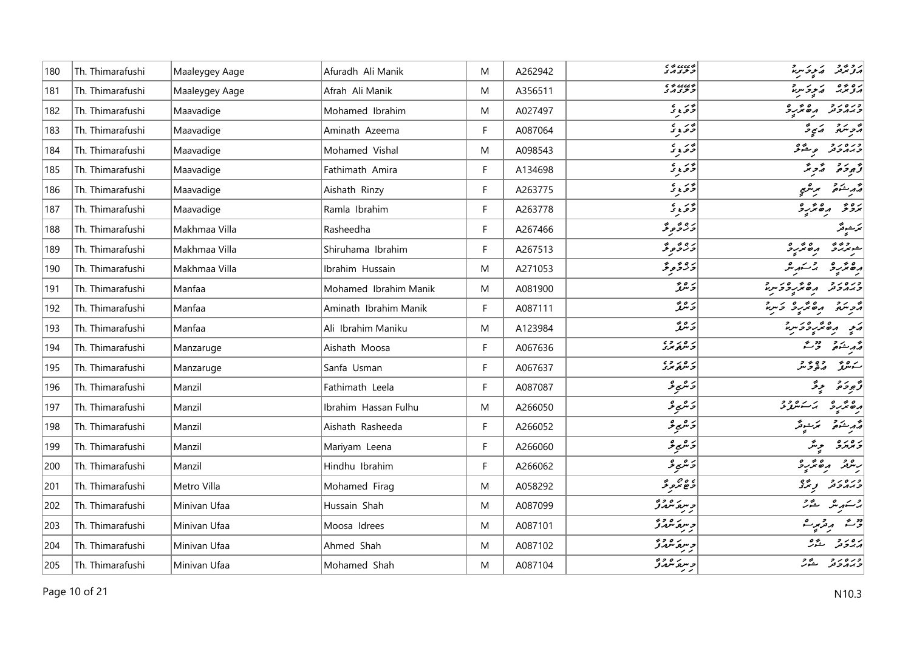| 180 | Th. Thimarafushi | Maaleygey Aage | Afuradh Ali Manik     | M  | A262942 | ه c به c c c به<br><del>ز</del> نو تر بر ی     | ىر <i>3 ت</i> ىر تەر<br>ە ئېرىۋىسرىد                       |
|-----|------------------|----------------|-----------------------|----|---------|------------------------------------------------|------------------------------------------------------------|
| 181 | Th. Thimarafushi | Maaleygey Aage | Afrah Ali Manik       | M  | A356511 | ه عن عنه عنه ع<br>مرکب حرکب می                 | پروپور<br>ە ئوچە ئىرىد                                     |
| 182 | Th. Thimarafushi | Maavadige      | Mohamed Ibrahim       | M  | A027497 | ۇ ئەيمى<br>قىرىمۇ                              | ەھ تررۈ<br>و ره ر و<br><i>و پر</i> پر تر                   |
| 183 | Th. Thimarafushi | Maavadige      | Aminath Azeema        | F  | A087064 | ۇ ئەرى<br>قىرىم                                | أرمز سندة<br>ە ئىم ئە                                      |
| 184 | Th. Thimarafushi | Maavadige      | Mohamed Vishal        | Μ  | A098543 | ور ۽<br>حوج                                    | و ره ر و<br><i>و پر</i> پر تر<br>ء شەھر                    |
| 185 | Th. Thimarafushi | Maavadige      | Fathimath Amira       | F  | A134698 | و د د و د<br>ترکالو د                          | ء بر د<br>ترجو حم<br>ړ څر بر                               |
| 186 | Th. Thimarafushi | Maavadige      | Aishath Rinzy         | F  | A263775 | ۇ ئەركە<br>قىرىمۇ ئە                           | وأمر خنقى مرشي                                             |
| 187 | Th. Thimarafushi | Maavadige      | Ramla Ibrahim         | F  | A263778 | ۇ ئەربى<br>مەھرىم                              | برە بۇ<br>مەھترىرى                                         |
| 188 | Th. Thimarafushi | Makhmaa Villa  | Rasheedha             | F. | A267466 | 533ء تھ                                        | ىر<br>مرىشونىر                                             |
| 189 | Th. Thimarafushi | Makhmaa Villa  | Shiruhama Ibrahim     | F. | A267513 | ۇرۇمۇ                                          | احومرچونچ<br>ە ھەمرىر 2<br>برەھمەر                         |
| 190 | Th. Thimarafushi | Makhmaa Villa  | Ibrahim Hussain       | M  | A271053 | ئەر ئۇ ئۇ                                      | ەرھەترىر <sup>ە</sup>                                      |
| 191 | Th. Thimarafushi | Manfaa         | Mohamed Ibrahim Manik | M  | A081900 | ىز شرىچە                                       | ەھ ئەر 3 كەر ?<br>رەھ ئەر 3 كەر ?<br>و ره ر و<br>د بر د تر |
| 192 | Th. Thimarafushi | Manfaa         | Aminath Ibrahim Manik | F  | A087111 | ىز شرىچە                                       | ג <i>ים پڙ</i> رو <sub>ב</sub> ُ سربا<br>أرمح يترة         |
| 193 | Th. Thimarafushi | Manfaa         | Ali Ibrahim Maniku    | Μ  | A123984 | ىر ھۇ                                          | ړې ره ټروکر                                                |
| 194 | Th. Thimarafushi | Manzaruge      | Aishath Moosa         | F  | A067636 | ر ہ ر د ،<br>تر سرپی سری                       | حر مشر<br>و مر شو د<br>مرکز شو د                           |
| 195 | Th. Thimarafushi | Manzaruge      | Sanfa Usman           | F  | A067637 | ر ه ر د ،<br><del>ر</del> سرنۍ مر <sub>ک</sub> | سەمىدٌ<br>چە ئەچە<br>مەھمەرىكى                             |
| 196 | Th. Thimarafushi | Manzil         | Fathimath Leela       | F  | A087087 | ۇ ئىرى ۋ                                       | و بر د<br>تر مورد مو<br>ىر ئۇ                              |
| 197 | Th. Thimarafushi | Manzil         | Ibrahim Hassan Fulhu  | M  | A266050 | ئەش <sub>ىب</sub> و                            | وه عزره بر دره د                                           |
| 198 | Th. Thimarafushi | Manzil         | Aishath Rasheeda      | F  | A266052 | ئەمپر بۇ                                       | د<br>مگر شکور مرشور                                        |
| 199 | Th. Thimarafushi | Manzil         | Mariyam Leena         | F  | A266060 | ئەشرىپ بۇ                                      | ر ه ر ه<br><del>و</del> بربرو<br>ىرىتر                     |
| 200 | Th. Thimarafushi | Manzil         | Hindhu Ibrahim        | F  | A266062 | ئەمب <sub>ى</sub> ر ئى                         | ە ھەمگرىرى<br>م<br>ىرىنزىز                                 |
| 201 | Th. Thimarafushi | Metro Villa    | Mohamed Firag         | M  | A058292 | وعوعرو                                         | ورەرو پەر                                                  |
| 202 | Th. Thimarafushi | Minivan Ufaa   | Hussain Shah          | M  | A087099 | ج سره شمر ژ                                    | جر سکه شرح مشرقه<br>مسلم                                   |
| 203 | Th. Thimarafushi | Minivan Ufaa   | Moosa Idrees          | Μ  | A087101 | ار سره شدد محمد د                              | ارسته مرتزبر من<br>ا                                       |
| 204 | Th. Thimarafushi | Minivan Ufaa   | Ahmed Shah            | Μ  | A087102 | <i>د</i> سرهٔ شرړ ژ                            | رەر دەر                                                    |
| 205 | Th. Thimarafushi | Minivan Ufaa   | Mohamed Shah          | Μ  | A087104 | د سره شمر ژ                                    | ورەر دەر                                                   |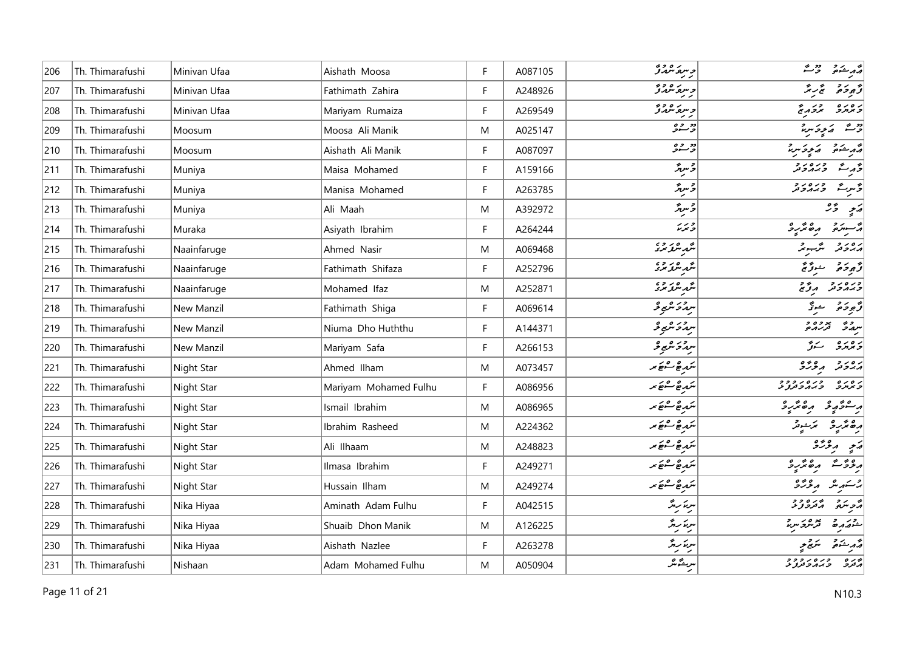| 206 | Th. Thimarafushi | Minivan Ufaa      | Aishath Moosa         | F         | A087105 | د سو <sup>م</sup> مهرو          | و مرکز دیگر<br>مستقیمی<br>دين مشر                                                 |
|-----|------------------|-------------------|-----------------------|-----------|---------|---------------------------------|-----------------------------------------------------------------------------------|
| 207 | Th. Thimarafushi | Minivan Ufaa      | Fathimath Zahira      | F         | A248926 | <i>ج</i> سرعهٔ مثرمر تر         | ۇ بور پر<br>ىتى سەتتىر                                                            |
| 208 | Th. Thimarafushi | Minivan Ufaa      | Mariyam Rumaiza       | F         | A269549 | اد سره شدد.<br>مسر              | ر ه ر ه<br>و بربرو<br>برزمر                                                       |
| 209 | Th. Thimarafushi | Moosum            | Moosa Ali Manik       | M         | A025147 | دد وه                           | وژ مئے<br>ە ئېرىخ سرىتى                                                           |
| 210 | Th. Thimarafushi | Moosum            | Aishath Ali Manik     | F         | A087097 | دد ده                           | ە ئېرىخە سرىد<br>د مرشوم<br>مرم مشوم                                              |
| 211 | Th. Thimarafushi | Muniya            | Maisa Mohamed         | F         | A159166 | وسرتر                           | و ر ه ر د<br>تر پروتر<br>ر پر گ                                                   |
| 212 | Th. Thimarafushi | Muniya            | Manisa Mohamed        | F         | A263785 | د سرگر<br>ر                     | و ره ر و<br>تر پر ژ تر<br>ۇ سرىگە                                                 |
| 213 | Th. Thimarafushi | Muniya            | Ali Maah              | M         | A392972 | وسربر                           | $25 - 24$                                                                         |
| 214 | Th. Thimarafushi | Muraka            | Asiyath Ibrahim       | F         | A264244 | ويرز                            | پ <sup>و</sup> سەدە.<br>م<br>دە تەرىخ                                             |
| 215 | Th. Thimarafushi | Naainfaruge       | Ahmed Nasir           | ${\sf M}$ | A069468 | متَّمر مثروَ بر <sub>و</sub> ءِ | پروژبر<br>ىئرىبەير                                                                |
| 216 | Th. Thimarafushi | Naainfaruge       | Fathimath Shifaza     | F         | A252796 | مگر مرکز برد<br>مگر مگر برد     | شەۋىج<br>ء مر د<br>ترجو حو                                                        |
| 217 | Th. Thimarafushi | Naainfaruge       | Mohamed Ifaz          | M         | A252871 | مگر مگر کرد د <sup>ی</sup>      | ەرتى<br>و ره ر و<br><i>و پر</i> و تر                                              |
| 218 | Th. Thimarafushi | <b>New Manzil</b> | Fathimath Shiga       | F         | A069614 | لىردىق چۇ                       | ا تو بر در<br>ا<br>شوگر                                                           |
| 219 | Th. Thimarafushi | New Manzil        | Niuma Dho Huththu     | F         | A144371 | سرد و عربه و                    | $rac{2}{3}$<br>پر و ه و<br>تر <i>ر</i> پر می                                      |
| 220 | Th. Thimarafushi | New Manzil        | Mariyam Safa          | F         | A266153 | سرة د شيو                       | ر ه ر ه<br><del>ر</del> بربرد<br>سەۋ                                              |
| 221 | Th. Thimarafushi | Night Star        | Ahmed Ilham           | ${\sf M}$ | A073457 | سَرِمٍ مُتَعَمِّر               | ەربەرە<br>ر ە ر د<br>مەركىر                                                       |
| 222 | Th. Thimarafushi | Night Star        | Mariyam Mohamed Fulhu | F         | A086956 | ىئىر ھېشىھ ئىر                  | ۶ ۶ ۶ ۶ ۶ ۶ ۶ ۶<br>ق بر پر <del>و</del> تر تر تر<br>ر ه ر ه<br><del>د</del> بربرگ |
| 223 | Th. Thimarafushi | Night Star        | Ismail Ibrahim        | M         | A086965 | سكره طيء كالمحاسر               | وستجوفه وه محرره                                                                  |
| 224 | Th. Thimarafushi | Night Star        | Ibrahim Rasheed       | M         | A224362 | سكره شرع سر                     | ە ھەترىر <sup>ى</sup><br>بر ھەترىرى<br>ئەرىشەدىر<br>ئ                             |
| 225 | Th. Thimarafushi | Night Star        | Ali Ilhaam            | ${\sf M}$ | A248823 | الترم وعفجمه                    | $rac{1}{2}$                                                                       |
| 226 | Th. Thimarafushi | Night Star        | Ilmasa Ibrahim        | F         | A249271 | سكرهج ستقصر                     | رودمخت<br>ە ھەمەر 2<br>بەھەمەر 2                                                  |
| 227 | Th. Thimarafushi | Night Star        | Hussain Ilham         | M         | A249274 | سكرهج ستقصر                     | برسكريش بروريح                                                                    |
| 228 | Th. Thimarafushi | Nika Hiyaa        | Aminath Adam Fulhu    | F         | A042515 | سرىد كردگر<br>- -               | په ره و د<br>پر تر و تر تر<br>ړ د سره                                             |
| 229 | Th. Thimarafushi | Nika Hiyaa        | Shuaib Dhon Manik     | ${\sf M}$ | A126225 | مىرىدىكە<br>مەسىر               | بیو ۵ پر ر <sup>و</sup><br>شەھەرھ                                                 |
| 230 | Th. Thimarafushi | Nika Hiyaa        | Aishath Nazlee        | F         | A263278 | ىبرىدىكە<br>م                   | وكرمشكو الترجم                                                                    |
| 231 | Th. Thimarafushi | Nishaan           | Adam Mohamed Fulhu    | ${\sf M}$ | A050904 | اسریقیمر                        | په ره<br>د ترو<br>و ر ه ر و و و<br><i>و پر پر و</i> نونو نو                       |
|     |                  |                   |                       |           |         |                                 |                                                                                   |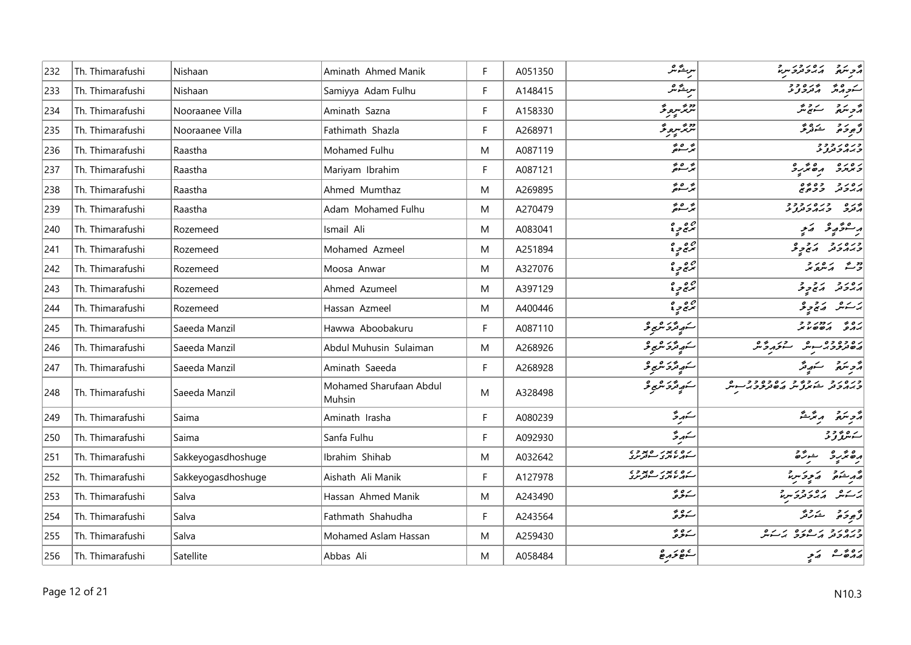| 232 | Th. Thimarafushi | Nishaan            | Aminath Ahmed Manik               | F         | A051350 | سرڪرشر                              | י 20 י 2 י<br>ג ג 3 تر 3 س<br> أرجع منعو                       |
|-----|------------------|--------------------|-----------------------------------|-----------|---------|-------------------------------------|----------------------------------------------------------------|
| 233 | Th. Thimarafushi | Nishaan            | Samiyya Adam Fulhu                | F         | A148415 | سرىشەشر                             | پر ده و د<br>پر تر تر تر تر<br>سكورثر                          |
| 234 | Th. Thimarafushi | Nooraanee Villa    | Aminath Sazna                     | F         | A158330 | پېژمبره دگر<br>  پېژمبره دگر        | أثر حريره<br>سە ئەشر                                           |
| 235 | Th. Thimarafushi | Nooraanee Villa    | Fathimath Shazla                  | F         | A268971 | تربر يبر <sub>عر</sub> بحر          | و مرد<br>ارتمبو حرم<br>شەۋرگر                                  |
| 236 | Th. Thimarafushi | Raastha            | Mohamed Fulhu                     | M         | A087119 | پۇ رەپچ                             | و ر ه ر و و و<br><b>و بر بر و نرو</b> نر                       |
| 237 | Th. Thimarafushi | Raastha            | Mariyam Ibrahim                   | F         | A087121 | پۇ رەپ<br>ئىرىسوپى                  | ەھ ئۆر ۋ<br>ر ه ر ه                                            |
| 238 | Th. Thimarafushi | Raastha            | Ahmed Mumthaz                     | M         | A269895 | پۇ رەپچ                             | 9 خ 9 خ<br>حر خر خ ح<br>ر ە ر د                                |
| 239 | Th. Thimarafushi | Raastha            | Adam Mohamed Fulhu                | M         | A270479 | پۇ رەپچ                             | و ر ٥ ر و و و<br>تر بر بر ترتو تر<br>پور ہ<br>دگرو             |
| 240 | Th. Thimarafushi | Rozemeed           | Ismail Ali                        | M         | A083041 | ەرە جە<br>ئىرىنى جەنج               | برڪڙڀو ڏيو                                                     |
| 241 | Th. Thimarafushi | Rozemeed           | Mohamed Azmeel                    | M         | A251894 | ترج ح ؟                             | כנים ניבי ביל                                                  |
| 242 | Th. Thimarafushi | Rozemeed           | Moosa Anwar                       | M         | A327076 | 0 ه.<br>  مربع ح <sub>و</sub> ي     | ادع برادرد                                                     |
| 243 | Th. Thimarafushi | Rozemeed           | Ahmed Azumeel                     | ${\sf M}$ | A397129 | <br>  مرج ح <sub>ج</sub> ؟          | دەر د دەر ئە                                                   |
| 244 | Th. Thimarafushi | Rozemeed           | Hassan Azmeel                     | M         | A400446 | 0 ه.<br>  مربع ح <sub>و</sub> ي     | پرستانگر اندینی تولید                                          |
| 245 | Th. Thimarafushi | Saeeda Manzil      | Hawwa Aboobakuru                  | F         | A087110 | سەر ئەر ئەرىب <sub>ى</sub> ئە       | נים נחנדד<br>גתפ תשישיות                                       |
| 246 | Th. Thimarafushi | Saeeda Manzil      | Abdul Muhusin Sulaiman            | M         | A268926 | سەر ئەر ئىرى ئى                     |                                                                |
| 247 | Th. Thimarafushi | Saeeda Manzil      | Aminath Saeeda                    | F         | A268928 | <i>ے پہ مڑخ</i> شریح ثر             |                                                                |
| 248 | Th. Thimarafushi | Saeeda Manzil      | Mohamed Sharufaan Abdul<br>Muhsin | ${\sf M}$ | A328498 | <i>ے پہ قرّحہ تقریب تح</i>          | وره رو در دورو ره وه وو د.<br>وبردوس شوبرتي س دره ترتوو بر سوس |
| 249 | Th. Thimarafushi | Saima              | Aminath Irasha                    | F         | A080239 | سەرق                                | أأدوسكم وبرشة                                                  |
| 250 | Th. Thimarafushi | Saima              | Sanfa Fulhu                       | F         | A092930 | ستهرقر                              | ر په دور<br>سرمندو تر تر                                       |
| 251 | Th. Thimarafushi | Sakkeyogasdhoshuge | Ibrahim Shihab                    | ${\sf M}$ | A032642 | ر ۲۵ پرس ۲۵ و ۲<br>سوهر د در کاربرد | ەرھ ئ <sup>ۆ</sup> ر ۋ<br>ے رگنج                               |
| 252 | Th. Thimarafushi | Sakkeyogasdhoshuge | Aishath Ali Manik                 | F         | A127978 | ر ۲۵ پرس ۲۵ و ۲<br>سوهر د در کاربرد |                                                                |
| 253 | Th. Thimarafushi | Salva              | Hassan Ahmed Manik                | ${\sf M}$ | A243490 | سەبىر                               | ג' גם גם גבעל                                                  |
| 254 | Th. Thimarafushi | Salva              | Fathmath Shahudha                 | F         | A243564 | سەبىر                               | وٌ و د و د و د                                                 |
| 255 | Th. Thimarafushi | Salva              | Mohamed Aslam Hassan              | M         | A259430 | سەنزۇ                               | ورەرو رەرە رىك                                                 |
| 256 | Th. Thimarafushi | Satellite          | Abbas Ali                         | M         | A058484 | ر عمره عرضه ع                       | أمدة مصمح أمجم                                                 |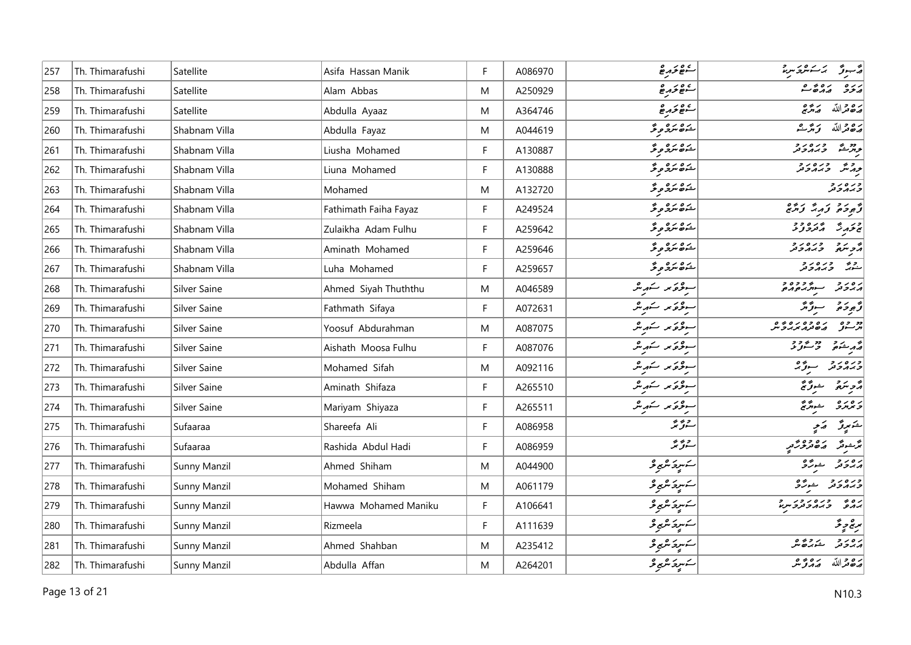| 257 | Th. Thimarafushi | Satellite           | Asifa Hassan Manik    | F  | A086970 | ے <sub>ھ</sub> وکہ ج                    | ئەسەھ ئەسرىد<br>ۇ سىز ئە                                 |
|-----|------------------|---------------------|-----------------------|----|---------|-----------------------------------------|----------------------------------------------------------|
| 258 | Th. Thimarafushi | Satellite           | Alam Abbas            | M  | A250929 | ے جو بر ج                               | ر رە<br>مەنزى<br>2522                                    |
| 259 | Th. Thimarafushi | Satellite           | Abdulla Ayaaz         | M  | A364746 | ر                                       | ەھىراللە<br>ر پر ہ<br>پر پر س                            |
| 260 | Th. Thimarafushi | Shabnam Villa       | Abdulla Fayaz         | M  | A044619 | شەھ سرۋ بو ئۇ                           | ەھىراللە<br>تر تژ شه                                     |
| 261 | Th. Thimarafushi | Shabnam Villa       | Liusha Mohamed        | F. | A130887 | ر <i>ە مەد و</i> ئ                      | و ره ر د<br><i>د ب</i> رگرفر<br>حروريجه                  |
| 262 | Th. Thimarafushi | Shabnam Villa       | Liuna Mohamed         | F  | A130888 | شەھ <i>مرۋ م</i> ۇ                      | لجرمهمثر<br>و رە ر د<br>تر پروتر                         |
| 263 | Th. Thimarafushi | Shabnam Villa       | Mohamed               | M  | A132720 | شەھ ئىر <sub>ۋ يو</sub> ئۇ              | و ر ه ر و<br>د بر پر تر                                  |
| 264 | Th. Thimarafushi | Shabnam Villa       | Fathimath Faiha Fayaz | F  | A249524 | رە ئەھ ئىر <i>ۋە</i> ئ <sup>ۆ</sup>     | وتجوحهم وكربة والرجم                                     |
| 265 | Th. Thimarafushi | Shabnam Villa       | Zulaikha Adam Fulhu   | F  | A259642 | لەيدە بەر<br>شەھ ئىرى بورى              | پر و و و<br>پر تعرفر تو تو<br>ج ځه پر پ <sup>ج</sup>     |
| 266 | Th. Thimarafushi | Shabnam Villa       | Aminath Mohamed       | F  | A259646 | شەھ ئىر ئەر                             | و رە ر د<br>تر پروتر<br>ړې سره                           |
| 267 | Th. Thimarafushi | Shabnam Villa       | Luha Mohamed          | F  | A259657 | شەھ سرچ و تۇ                            | روه وره رو                                               |
| 268 | Th. Thimarafushi | Silver Saine        | Ahmed Siyah Thuththu  | M  | A046589 | سوۋە ئەر ئىر                            | > 0 2 2 %<br>- an gand<br>ر ه ر د<br>م.ر <del>د</del> تر |
| 269 | Th. Thimarafushi | Silver Saine        | Fathmath Sifaya       | F  | A072631 | سەنۇە بىر سەر بىر                       | رًّمُودَةً –رَزَّةً.                                     |
| 270 | Th. Thimarafushi | <b>Silver Saine</b> | Yoosuf Abdurahman     | M  | A087075 | سوقرة بريش                              | מ כם גם כם גם כם.<br>ת—تق השנק הגלייל                    |
| 271 | Th. Thimarafushi | Silver Saine        | Aishath Moosa Fulhu   | F. | A087076 | سوۋە بىر سەر ش                          | وكروشتمو والمستوفر                                       |
| 272 | Th. Thimarafushi | Silver Saine        | Mohamed Sifah         | M  | A092116 | سوقوته سكرهما                           | ورەرو سۆۋە                                               |
| 273 | Th. Thimarafushi | Silver Saine        | Aminath Shifaza       | F  | A265510 | سيؤة بر سكهر مر                         | شوقريح<br>ړځ سرچ                                         |
| 274 | Th. Thimarafushi | <b>Silver Saine</b> | Mariyam Shiyaza       | F  | A265511 | سەۋەكىر سەرىش                           | ر ه ر ه<br><del>و</del> بوبرو<br>شەدگە گ                 |
| 275 | Th. Thimarafushi | Sufaaraa            | Shareefa Ali          | F  | A086958 | يەدىجە                                  | شەموتى<br>ەنىيە                                          |
| 276 | Th. Thimarafushi | Sufaaraa            | Rashida Abdul Hadi    | F  | A086959 | يەدىبە                                  | ر ٥ ٥ ٥ ٥ م<br>د ۵ مرمرگ <sup>و</sup> ر<br>پر<br>برگسونر |
| 277 | Th. Thimarafushi | Sunny Manzil        | Ahmed Shiham          | M  | A044900 | سە يېرى ئىرى <i>مى</i> ئ                | رەر دەر ئىدىگە<br>مەرى ئىدىگە                            |
| 278 | Th. Thimarafushi | Sunny Manzil        | Mohamed Shiham        | M  | A061179 | ىكە بېرىگە ئى <sub>ر</sub> گە           | ورەر د بەھ<br><i>دىد</i> ەر <del>ى</del> ر شەرگر         |
| 279 | Th. Thimarafushi | Sunny Manzil        | Hawwa Mohamed Maniku  | F  | A106641 | ىكە يېرى <i>خ ن</i> ىرىجە               | כנסנכנה<br>כמח כנקבית מ<br>ر ه و<br>پر <sub>ا</sub> ر و  |
| 280 | Th. Thimarafushi | Sunny Manzil        | Rizmeela              | F  | A111639 | سە <sub>سوچە</sub> ش <sub>ەب</sub> ۇ    | ىر چ چە ئخر                                              |
| 281 | Th. Thimarafushi | Sunny Manzil        | Ahmed Shahban         | M  | A235412 | سە <sub>سرى</sub> جە ش <sub>ەر</sub> بۇ | ر ه ر د<br>د برو تر<br>شەرچ ش                            |
| 282 | Th. Thimarafushi | Sunny Manzil        | Abdulla Affan         | M  | A264201 | سە يېرى ئىرى <i>مى</i> ئى               | برە تراللە<br>پره په و                                   |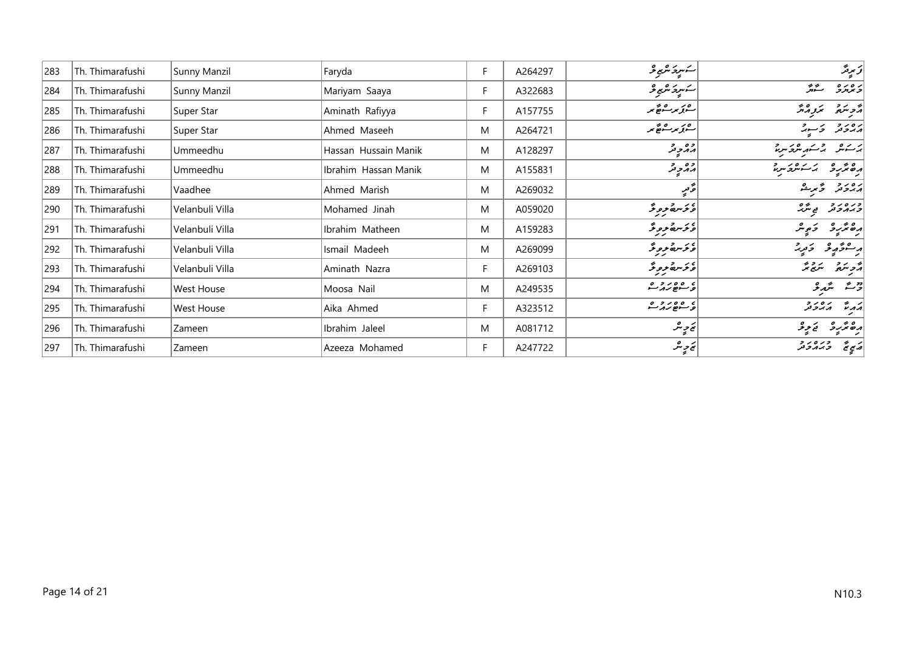| 283 | Th. Thimarafushi | Sunny Manzil      | Faryda               | F | A264297 | سەس <sub>ى</sub> رى ئىرى ئى | تو مومَّر                                                |
|-----|------------------|-------------------|----------------------|---|---------|-----------------------------|----------------------------------------------------------|
| 284 | Th. Thimarafushi | Sunny Manzil      | Mariyam Saaya        | F | A322683 | سەسەكەرى بۇ                 | ر ه ر ه<br><del>ر</del> بربر ژ<br>ستنهر                  |
| 285 | Th. Thimarafushi | Super Star        | Aminath Rafiyya      | F | A157755 | <u>شوېز بىر شۇغ بىر</u>     | پژ د سرچ<br>$\bullet$ o $\hspace{0.1cm}$<br>بمزواتراتر   |
| 286 | Th. Thimarafushi | Super Star        | Ahmed Maseeh         | M | A264721 | <u>شوېز سره ځ</u> مه        | پروژو<br>الأستعار                                        |
| 287 | Th. Thimarafushi | Ummeedhu          | Hassan Hussain Manik | M | A128297 | وە جە تە                    | بر کے مر مرکز سربر<br>برسەمىر                            |
| 288 | Th. Thimarafushi | Ummeedhu          | Ibrahim Hassan Manik | M | A155831 | ده د پر                     | $2 \times 0 \times 1$<br>مەھرىر<br>بر سوسرپر سربر<br>4   |
| 289 | Th. Thimarafushi | Vaadhee           | Ahmed Marish         | M | A269032 | ا حرقو<br>م                 | ر ەر د<br>╺<br>گر سر گ                                   |
| 290 | Th. Thimarafushi | Velanbuli Villa   | Mohamed Jinah        | M | A059020 | ە ئەسھىم بەر<br>,,          | و ره ر و<br><i>و پر</i> و تر<br>$\mathcal{O}$<br>ہے سزیر |
| 291 | Th. Thimarafushi | Velanbuli Villa   | Ibrahim Matheen      | M | A159283 | ءیز سقه و و قُر             | ىر ھەتتەر 2<br>ر<br>ترحرس                                |
| 292 | Th. Thimarafushi | Velanbuli Villa   | Ismail Madeeh        | M | A269099 | ءیز سھ ووٹر                 | امر شۇم ئو<br>وتحربر                                     |
| 293 | Th. Thimarafushi | Velanbuli Villa   | Aminath Nazra        | F | A269103 | ءیز سھ ووٹر                 | پ <sup>ر</sup> تر بر د<br>سىرچە ئىر                      |
| 294 | Th. Thimarafushi | West House        | Moosa Nail           | M | A249535 | ى مەھ <i>ئەد</i> ىسە        | سمەغە<br>تر مشتر م                                       |
| 295 | Th. Thimarafushi | <b>West House</b> | Aika Ahmed           | F | A323512 | ى مەھ <i>ئەد</i> ىم         | برور و<br>بردر                                           |
| 296 | Th. Thimarafushi | Zameen            | Ibrahim Jaleel       | M | A081712 | ئچ ج مگر                    | ەھ ئ <sup>ۆ</sup> ر ۋ<br>تح محر پحر                      |
| 297 | Th. Thimarafushi | Zameen            | Azeeza Mohamed       | F | A247722 | ا ہے جے متر                 | 20012<br>ر<br>دې<br><i>ح بر ۸ ر</i> و تر                 |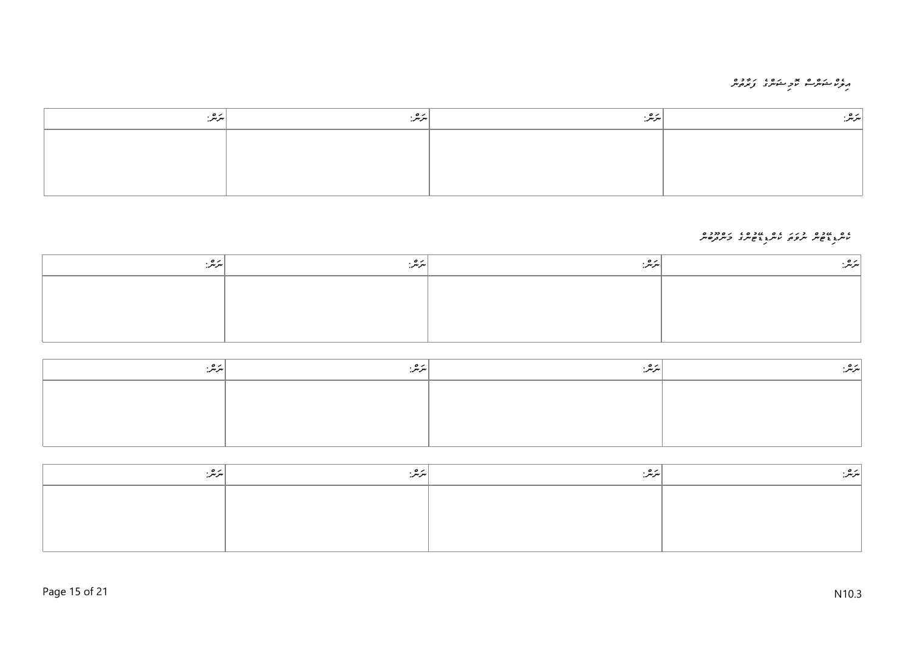## *w7qAn8m? sCw7mRo>u; wEw7mRw;sBo<*

| ايئرمين | $\overline{\phantom{a}}$ | ىر تە |
|---------|--------------------------|-------|
|         |                          |       |
|         |                          |       |
|         |                          |       |

## *w7q9r@w7m> sCw7qHtFoFw7s; mAm=q7 w7qHtFoFw7s;*

| ىر تە | $\mathcal{O} \times$<br>$\sim$ | $\sim$<br>. . | لترنثر |
|-------|--------------------------------|---------------|--------|
|       |                                |               |        |
|       |                                |               |        |
|       |                                |               |        |

| $\frac{2}{n}$ | $\overline{\phantom{a}}$ | اير هنه. | $\mathcal{O} \times$<br>سرسر |
|---------------|--------------------------|----------|------------------------------|
|               |                          |          |                              |
|               |                          |          |                              |
|               |                          |          |                              |

| ' ئىرتىر: | سر سر |  |
|-----------|-------|--|
|           |       |  |
|           |       |  |
|           |       |  |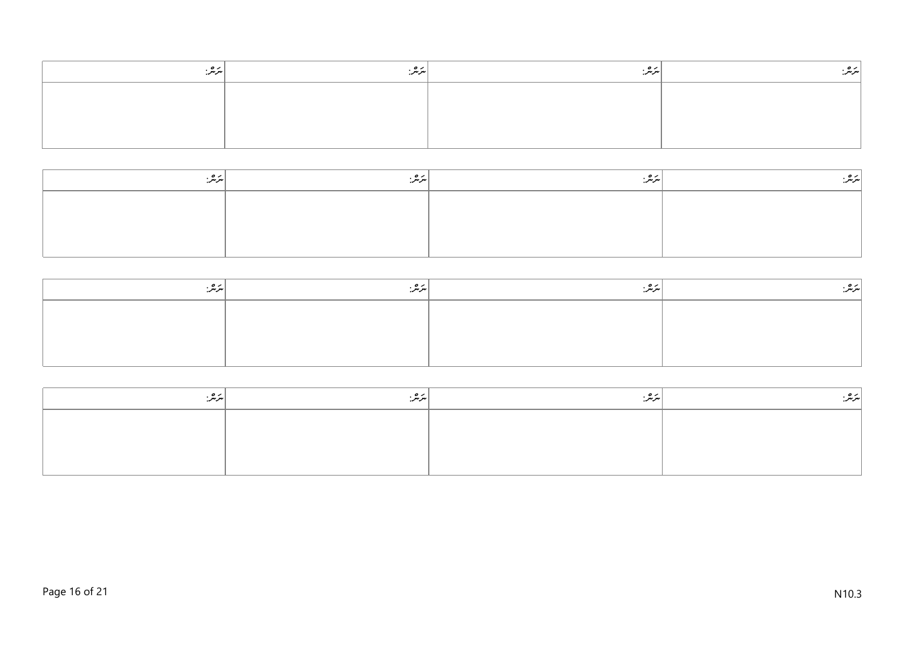| يره. | ο. | ا ير ه |  |
|------|----|--------|--|
|      |    |        |  |
|      |    |        |  |
|      |    |        |  |

| <sup>.</sup> سرسر. |  |
|--------------------|--|
|                    |  |
|                    |  |
|                    |  |

| ىئرىتر. | $\sim$ | ا بر هه. | لىرىش |
|---------|--------|----------|-------|
|         |        |          |       |
|         |        |          |       |
|         |        |          |       |

| $\overline{\phantom{a}}$<br>سرس. | ر ه<br>,,, | . . | 。<br>سرس. |
|----------------------------------|------------|-----|-----------|
|                                  |            |     |           |
|                                  |            |     |           |
|                                  |            |     |           |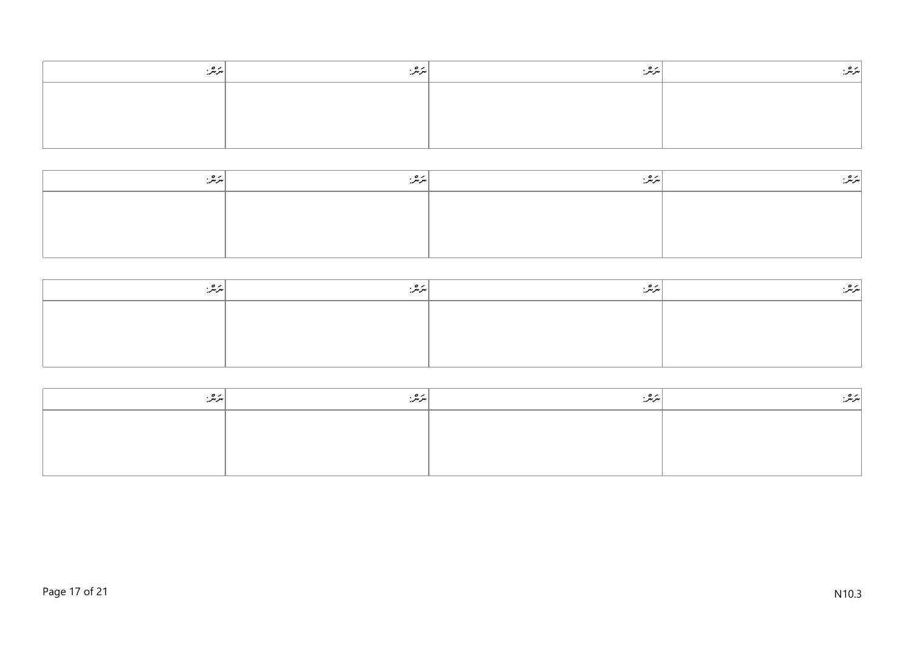| ير هو . | $\overline{\phantom{a}}$ | يرمر | اير هنه. |
|---------|--------------------------|------|----------|
|         |                          |      |          |
|         |                          |      |          |
|         |                          |      |          |

| ئىرتىر: | $\sim$<br>ا سرسر . | يئرمثر | o . |
|---------|--------------------|--------|-----|
|         |                    |        |     |
|         |                    |        |     |
|         |                    |        |     |

| كترنثر: | 。 | 。<br>سمرسمد. | o <i>~</i> |
|---------|---|--------------|------------|
|         |   |              |            |
|         |   |              |            |
|         |   |              |            |

|  | . ه |
|--|-----|
|  |     |
|  |     |
|  |     |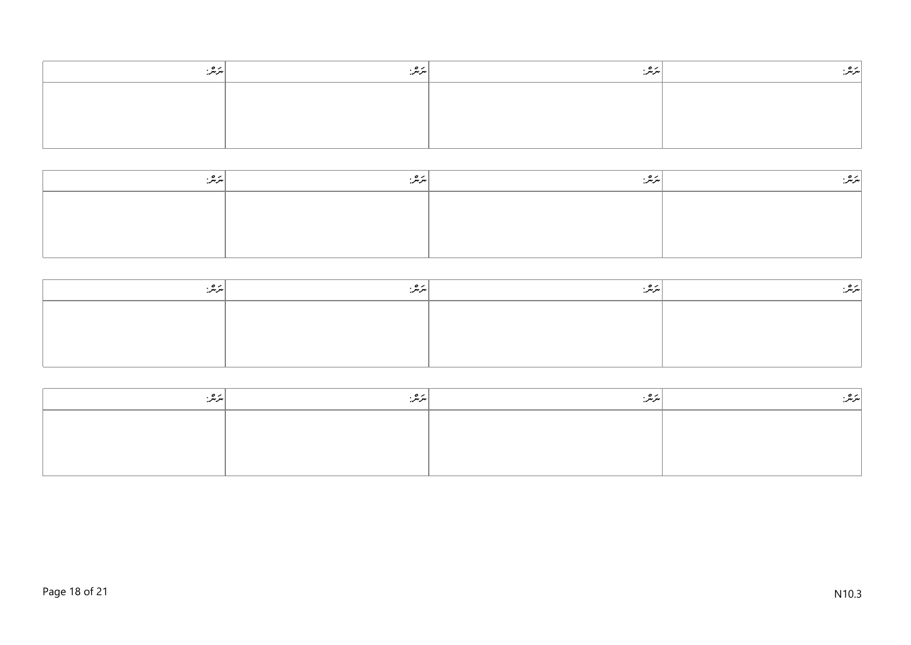| ير هو . | $\overline{\phantom{a}}$ | يرمر | اير هنه. |
|---------|--------------------------|------|----------|
|         |                          |      |          |
|         |                          |      |          |
|         |                          |      |          |

| ىر ھ | $\circ$ $\sim$<br>ا سرسر. | $\circ$ $\sim$<br>' سرسر . | o <i>~</i><br>سرسر. |
|------|---------------------------|----------------------------|---------------------|
|      |                           |                            |                     |
|      |                           |                            |                     |
|      |                           |                            |                     |

| كترنثر: | 。 | 。<br>سمرسمد. | o <i>~</i> |
|---------|---|--------------|------------|
|         |   |              |            |
|         |   |              |            |
|         |   |              |            |

|  | . ه |
|--|-----|
|  |     |
|  |     |
|  |     |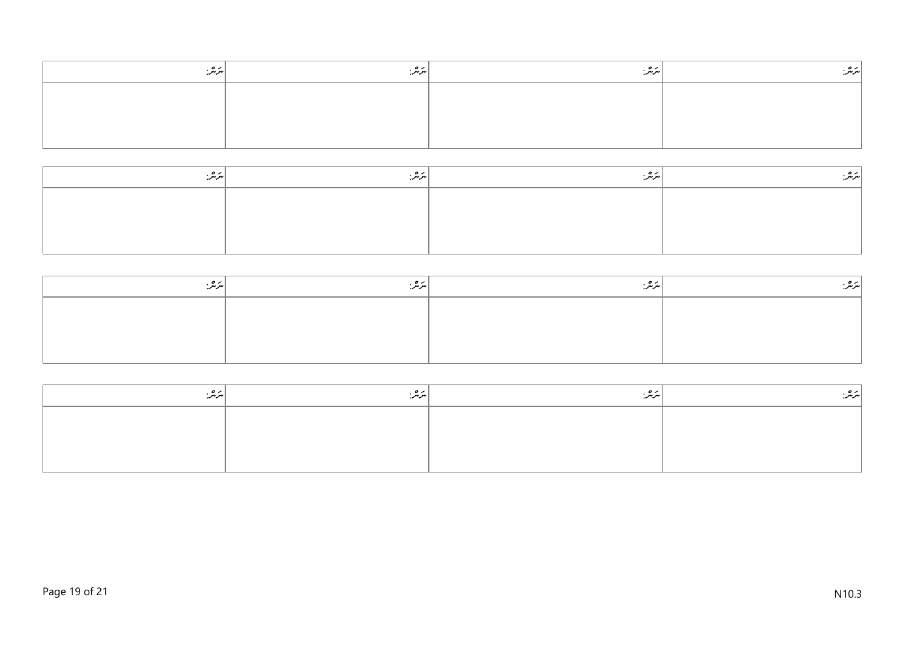| $\cdot$ | 。 | $\frac{\circ}{\cdot}$ | $\sim$<br>سرسر |
|---------|---|-----------------------|----------------|
|         |   |                       |                |
|         |   |                       |                |
|         |   |                       |                |

| يريثن | ' سرسر . |  |
|-------|----------|--|
|       |          |  |
|       |          |  |
|       |          |  |

| بر ه | . ه | $\sim$<br>سرسر |  |
|------|-----|----------------|--|
|      |     |                |  |
|      |     |                |  |
|      |     |                |  |

| 。<br>. س | ىرىىر |  |
|----------|-------|--|
|          |       |  |
|          |       |  |
|          |       |  |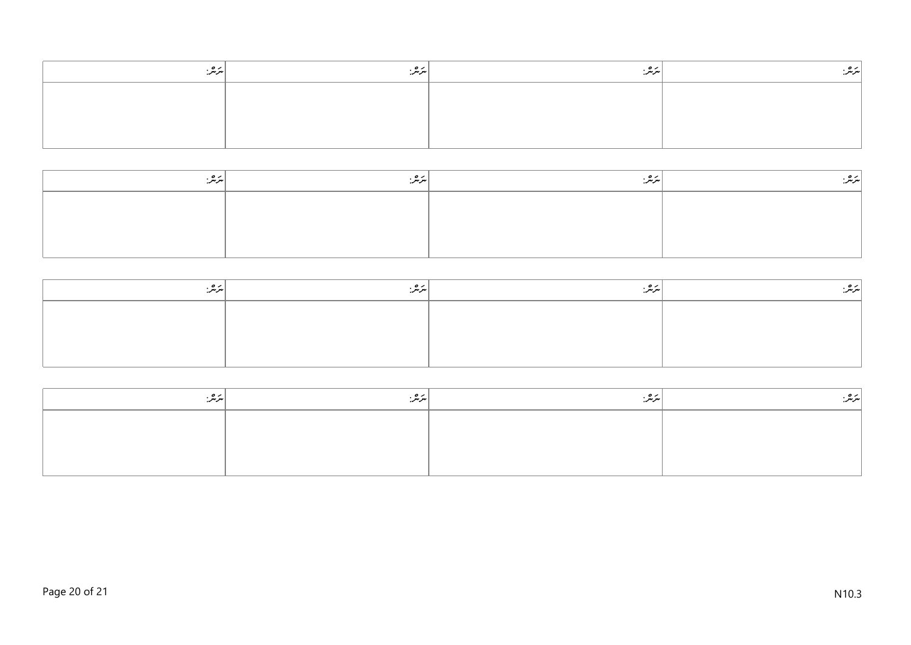| ير هو . | $\overline{\phantom{a}}$ | يرمر | اير هنه. |
|---------|--------------------------|------|----------|
|         |                          |      |          |
|         |                          |      |          |
|         |                          |      |          |

| ئىرتىر: | $\sim$<br>ا سرسر . | يئرمثر | o . |
|---------|--------------------|--------|-----|
|         |                    |        |     |
|         |                    |        |     |
|         |                    |        |     |

| كترنثر: | 。 | 。<br>سرسر. | o <i>~</i> |
|---------|---|------------|------------|
|         |   |            |            |
|         |   |            |            |
|         |   |            |            |

|  | . ه |
|--|-----|
|  |     |
|  |     |
|  |     |